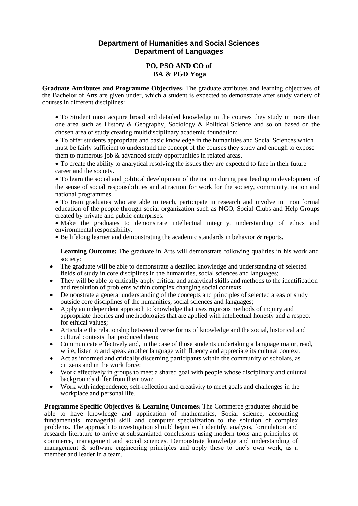### **Department of Humanities and Social Sciences Department of Languages**

### **PO, PSO AND CO of BA & PGD Yoga**

**Graduate Attributes and Programme Objectives:** The graduate attributes and learning objectives of the Bachelor of Arts are given under, which a student is expected to demonstrate after study variety of courses in different disciplines:

 To Student must acquire broad and detailed knowledge in the courses they study in more than one area such as History & Geography, Sociology & Political Science and so on based on the chosen area of study creating multidisciplinary academic foundation;

 To offer students appropriate and basic knowledge in the humanities and Social Sciences which must be fairly sufficient to understand the concept of the courses they study and enough to expose them to numerous job & advanced study opportunities in related areas.

 To create the ability to analytical resolving the issues they are expected to face in their future career and the society.

 To learn the social and political development of the nation during past leading to development of the sense of social responsibilities and attraction for work for the society, community, nation and national programmes.

 To train graduates who are able to teach, participate in research and involve in non formal education of the people through social organization such as NGO, Social Clubs and Help Groups created by private and public enterprises.

• Make the graduates to demonstrate intellectual integrity, understanding of ethics and environmental responsibility.

Be lifelong learner and demonstrating the academic standards in behavior & reports.

**Learning Outcome:** The graduate in Arts will demonstrate following qualities in his work and society:

- The graduate will be able to demonstrate a detailed knowledge and understanding of selected fields of study in core disciplines in the humanities, social sciences and languages;
- They will be able to critically apply critical and analytical skills and methods to the identification and resolution of problems within complex changing social contexts.
- Demonstrate a general understanding of the concepts and principles of selected areas of study outside core disciplines of the humanities, social sciences and languages;
- Apply an independent approach to knowledge that uses rigorous methods of inquiry and appropriate theories and methodologies that are applied with intellectual honesty and a respect for ethical values;
- Articulate the relationship between diverse forms of knowledge and the social, historical and cultural contexts that produced them;
- Communicate effectively and, in the case of those students undertaking a language major, read, write, listen to and speak another language with fluency and appreciate its cultural context;
- Act as informed and critically discerning participants within the community of scholars, as citizens and in the work force;
- Work effectively in groups to meet a shared goal with people whose disciplinary and cultural backgrounds differ from their own;
- Work with independence, self-reflection and creativity to meet goals and challenges in the workplace and personal life.

**Programme Specific Objectives & Learning Outcomes:** The Commerce graduates should be able to have knowledge and application of mathematics, Social science, accounting fundamentals, managerial skill and computer specialization to the solution of complex problems. The approach to investigation should begin with identify, analysis, formulation and research literature to arrive at substantiated conclusions using modern tools and principles of commerce, management and social sciences. Demonstrate knowledge and understanding of management & software engineering principles and apply these to one's own work, as a member and leader in a team.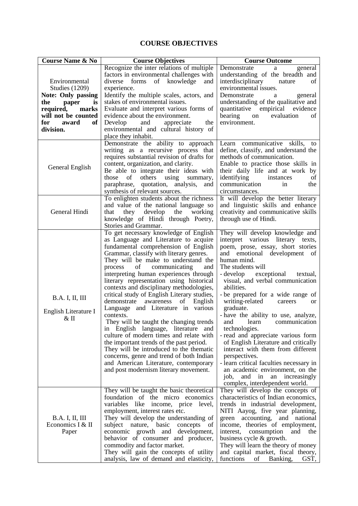### **COURSE OBJECTIVES**

| <b>Course Name &amp; No</b>                              | <b>Course Objectives</b>                                                                                                                                                                                                                                                                                                                                                                                                                                                                                                                                                                                                                                                                                                                                                                                                                                                          | <b>Course Outcome</b>                                                                                                                                                                                                                                                                                                                                                                                                                                                                                                                                                                                                                                                                                                                        |
|----------------------------------------------------------|-----------------------------------------------------------------------------------------------------------------------------------------------------------------------------------------------------------------------------------------------------------------------------------------------------------------------------------------------------------------------------------------------------------------------------------------------------------------------------------------------------------------------------------------------------------------------------------------------------------------------------------------------------------------------------------------------------------------------------------------------------------------------------------------------------------------------------------------------------------------------------------|----------------------------------------------------------------------------------------------------------------------------------------------------------------------------------------------------------------------------------------------------------------------------------------------------------------------------------------------------------------------------------------------------------------------------------------------------------------------------------------------------------------------------------------------------------------------------------------------------------------------------------------------------------------------------------------------------------------------------------------------|
|                                                          | Recognize the inter relations of multiple<br>factors in environmental challenges with                                                                                                                                                                                                                                                                                                                                                                                                                                                                                                                                                                                                                                                                                                                                                                                             | Demonstrate<br>general<br>a<br>understanding of the breadth and                                                                                                                                                                                                                                                                                                                                                                                                                                                                                                                                                                                                                                                                              |
| Environmental<br><b>Studies (1209)</b>                   | diverse<br>forms<br>of knowledge<br>and<br>experience.                                                                                                                                                                                                                                                                                                                                                                                                                                                                                                                                                                                                                                                                                                                                                                                                                            | interdisciplinary<br>of<br>nature<br>environmental issues.                                                                                                                                                                                                                                                                                                                                                                                                                                                                                                                                                                                                                                                                                   |
| <b>Note: Only passing</b>                                | Identify the multiple scales, actors, and                                                                                                                                                                                                                                                                                                                                                                                                                                                                                                                                                                                                                                                                                                                                                                                                                                         | Demonstrate<br>general<br>a                                                                                                                                                                                                                                                                                                                                                                                                                                                                                                                                                                                                                                                                                                                  |
| the<br>paper<br><i>is</i>                                | stakes of environmental issues.                                                                                                                                                                                                                                                                                                                                                                                                                                                                                                                                                                                                                                                                                                                                                                                                                                                   | understanding of the qualitative and                                                                                                                                                                                                                                                                                                                                                                                                                                                                                                                                                                                                                                                                                                         |
| required,<br>marks                                       | Evaluate and interpret various forms of                                                                                                                                                                                                                                                                                                                                                                                                                                                                                                                                                                                                                                                                                                                                                                                                                                           | quantitative empirical evidence                                                                                                                                                                                                                                                                                                                                                                                                                                                                                                                                                                                                                                                                                                              |
| will not be counted                                      | evidence about the environment.                                                                                                                                                                                                                                                                                                                                                                                                                                                                                                                                                                                                                                                                                                                                                                                                                                                   | bearing<br>evaluation<br>on<br>οf                                                                                                                                                                                                                                                                                                                                                                                                                                                                                                                                                                                                                                                                                                            |
| for<br>award<br>of                                       | Develop<br>and<br>appreciate<br>the                                                                                                                                                                                                                                                                                                                                                                                                                                                                                                                                                                                                                                                                                                                                                                                                                                               | environment.                                                                                                                                                                                                                                                                                                                                                                                                                                                                                                                                                                                                                                                                                                                                 |
| division.                                                | environmental and cultural history of<br>place they inhabit.                                                                                                                                                                                                                                                                                                                                                                                                                                                                                                                                                                                                                                                                                                                                                                                                                      |                                                                                                                                                                                                                                                                                                                                                                                                                                                                                                                                                                                                                                                                                                                                              |
| General English                                          | Demonstrate the ability to approach<br>writing as a recursive process that<br>requires substantial revision of drafts for<br>content, organization, and clarity.<br>Be able to integrate their ideas with<br>those of others<br>using<br>summary,<br>paraphrase, quotation, analysis,<br>and<br>synthesis of relevant sources.                                                                                                                                                                                                                                                                                                                                                                                                                                                                                                                                                    | communicative skills,<br>Learn<br>to<br>define, classify, and understand the<br>methods of communication.<br>Enable to practice those skills in<br>their daily life and at work by<br>identifying<br>of<br>instances<br>communication<br>in<br>the<br>circumstances.                                                                                                                                                                                                                                                                                                                                                                                                                                                                         |
| General Hindi                                            | To enlighten students about the richness<br>and value of the national language so<br>working<br>that<br>they develop<br>the<br>knowledge of Hindi through Poetry,<br>Stories and Grammar.                                                                                                                                                                                                                                                                                                                                                                                                                                                                                                                                                                                                                                                                                         | It will develop the better literary<br>and linguistic skills and enhance<br>creativity and communicative skills<br>through use of Hindi.                                                                                                                                                                                                                                                                                                                                                                                                                                                                                                                                                                                                     |
| <b>B.A. I, II, III</b><br>English Literature I<br>$&$ II | To get necessary knowledge of English<br>as Language and Literature to acquire<br>fundamental comprehension of English<br>Grammar, classify with literary genres.<br>They will be make to understand the<br>communicating<br>process<br>of<br>and<br>interpreting human experiences through<br>literary representation using historical<br>contexts and disciplinary methodologies,<br>critical study of English Literary studies,<br>awareness of<br>demonstrate<br>English<br>Language and Literature in various<br>contexts.<br>They will be taught the changing trends<br>in English language, literature and<br>culture of modern times and relate with<br>the important trends of the past period.<br>They will be introduced to the thematic<br>concerns, genre and trend of both Indian<br>and American Literature, contemporary<br>and post modernism literary movement. | They will develop knowledge and<br>interpret various literary texts,<br>poem, prose, essay, short stories<br>and emotional development of<br>human mind.<br>The students will<br>- develop exceptional<br>textual,<br>visual, and verbal communication<br>abilities.<br>- be prepared for a wide range of<br>writing-related<br>careers<br>or<br>graduate.<br>- have the ability to use, analyze,<br>and<br>learn<br>communication<br>technologies.<br>- read and appreciate various form<br>of English Literature and critically<br>interact with them from different<br>perspectives.<br>- learn critical faculties necessary in<br>an academic environment, on the<br>job,<br>and in<br>an increasingly<br>complex, interdependent world. |
| <b>B.A.</b> I, II, III<br>Economics I & II<br>Paper      | They will be taught the basic theoretical<br>foundation of the micro economics<br>variables like income, price level,<br>employment, interest rates etc.<br>They will develop the understanding of<br>subject nature, basic<br>concepts<br>of<br>economic growth and development,<br>behavior of consumer and producer,<br>commodity and factor market.<br>They will gain the concepts of utility<br>analysis, law of demand and elasticity,                                                                                                                                                                                                                                                                                                                                                                                                                                      | They will develop the concepts of<br>characteristics of Indian economics,<br>trends in industrial development,<br>NITI Aayog, five year planning,<br>green accounting, and national<br>income, theories of employment,<br>interest,<br>consumption<br>and<br>the<br>business cycle & growth.<br>They will learn the theory of money<br>and capital market, fiscal theory,<br>functions<br>of<br>GST,<br>Banking,                                                                                                                                                                                                                                                                                                                             |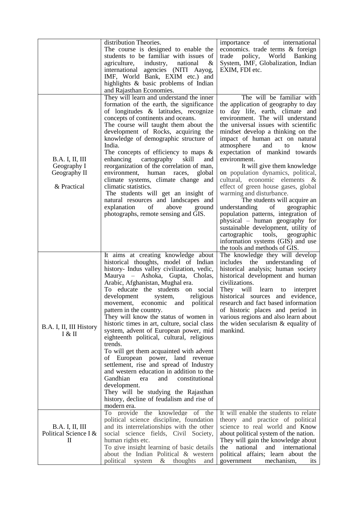|                                                                      | distribution Theories.<br>The course is designed to enable the<br>students to be familiar with issues of<br>agriculture,<br>industry,<br>national<br>&<br>international agencies (NITI Aayog,<br>IMF, World Bank, EXIM etc.) and<br>highlights & basic problems of Indian<br>and Rajasthan Economies.                                                                                                                                                                                                                                                                                                                                                                                                                                                                                                                                                                           | of international<br>importance<br>economics. trade terms & foreign<br>policy, World Banking<br>trade<br>System, IMF, Globalization, Indian<br>EXIM, FDI etc.                                                                                                                                                                                                                                                                                                                                                                                                                                                                                                                                                                                                                                                            |
|----------------------------------------------------------------------|---------------------------------------------------------------------------------------------------------------------------------------------------------------------------------------------------------------------------------------------------------------------------------------------------------------------------------------------------------------------------------------------------------------------------------------------------------------------------------------------------------------------------------------------------------------------------------------------------------------------------------------------------------------------------------------------------------------------------------------------------------------------------------------------------------------------------------------------------------------------------------|-------------------------------------------------------------------------------------------------------------------------------------------------------------------------------------------------------------------------------------------------------------------------------------------------------------------------------------------------------------------------------------------------------------------------------------------------------------------------------------------------------------------------------------------------------------------------------------------------------------------------------------------------------------------------------------------------------------------------------------------------------------------------------------------------------------------------|
| <b>B.A.</b> I, II, III<br>Geography I<br>Geography II<br>& Practical | They will learn and understand the inner<br>formation of the earth, the significance<br>of longitudes & latitudes, recognize<br>concepts of continents and oceans.<br>The course will taught them about the<br>development of Rocks, acquiring the<br>knowledge of demographic structure of<br>India.<br>The concepts of efficiency to maps $\&$<br>enhancing<br>cartography<br>skill<br>and<br>reorganization of the correlation of man,<br>environment,<br>human<br>races,<br>global<br>climate systems, climate change and<br>climatic statistics.<br>The students will get an insight of<br>natural resources and landscapes and<br>explanation<br>above<br>of<br>ground<br>photographs, remote sensing and GIS.                                                                                                                                                            | The will be familiar with<br>the application of geography to day<br>to day life, earth, climate and<br>environment. The will understand<br>the universal issues with scientific<br>mindset develop a thinking on the<br>impact of human act on natural<br>atmosphere<br>and<br>know<br>to<br>expectation of mankind towards<br>environment.<br>It will give them knowledge<br>on population dynamics, political,<br>cultural, economic elements &<br>effect of green house gases, global<br>warming and disturbance.<br>The students will acquire an<br>understanding<br>of<br>geographic<br>population patterns, integration of<br>physical – human geography for<br>sustainable development, utility of<br>cartographic<br>tools,<br>geographic<br>information systems (GIS) and use<br>the tools and methods of GIS. |
| B.A. I, II, III History<br>I & II                                    | It aims at creating knowledge about<br>historical thoughts, model of Indian<br>history- Indus valley civilization, vedic,<br>Maurya – Ashoka, Gupta, Cholas,<br>Arabic, Afghanistan, Mughal era.<br>To educate the students on social<br>development<br>religious<br>system,<br>political<br>movement, economic and<br>pattern in the country.<br>They will know the status of women in<br>historic times in art, culture, social class<br>system, advent of European power, mid<br>eighteenth political, cultural, religious<br>trends.<br>To will get them acquainted with advent<br>European power, land revenue<br>οf<br>settlement, rise and spread of Industry<br>and western education in addition to the<br>Gandhian<br>constitutional<br>and<br>era<br>development.<br>They will be studying the Rajasthan<br>history, decline of feudalism and rise of<br>modern era. | The knowledge they will develop<br>includes the understanding of<br>historical analysis; human society<br>historical development and human<br>civilizations.<br>They will learn to<br>interpret<br>historical sources and evidence,<br>research and fact based information<br>of historic places and period in<br>various regions and also learn about<br>the widen secularism & equality of<br>mankind.                                                                                                                                                                                                                                                                                                                                                                                                                |
| <b>B.A.</b> I, II, III<br>Political Science I &<br>П                 | To provide the knowledge of the<br>political science discipline, foundation<br>and its interrelationships with the other<br>social science fields, Civil Society,<br>human rights etc.<br>To give insight learning of basic details<br>about the Indian Political & western<br>political<br>&<br>system<br>thoughts<br>and                                                                                                                                                                                                                                                                                                                                                                                                                                                                                                                                                      | It will enable the students to relate<br>theory and practice of political<br>science to real world and Know<br>about political system of the nation.<br>They will gain the knowledge about<br>the<br>national<br>and<br>international<br>political affairs; learn about the<br>mechanism,<br>government<br><i>its</i>                                                                                                                                                                                                                                                                                                                                                                                                                                                                                                   |
|                                                                      |                                                                                                                                                                                                                                                                                                                                                                                                                                                                                                                                                                                                                                                                                                                                                                                                                                                                                 |                                                                                                                                                                                                                                                                                                                                                                                                                                                                                                                                                                                                                                                                                                                                                                                                                         |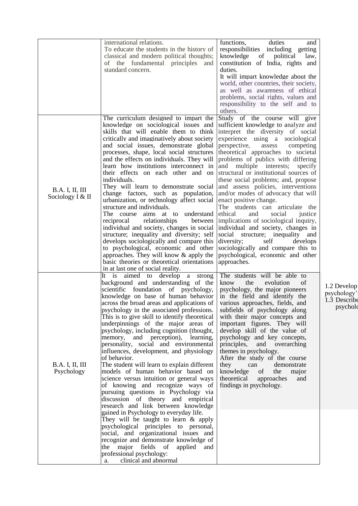|                                            | international relations.<br>To educate the students in the history of<br>classical and modern political thoughts;<br>of the fundamental principles and<br>standard concern.                                                                                                                                                                                                                                                                                                                                                                                                                                                                                                                                                                                                                                                                                                                                                                                 | duties<br>functions,<br>and<br>responsibilities including getting<br>knowledge<br>of political<br>law,<br>constitution of India, rights and<br>duties.<br>It will impart knowledge about the<br>world, other countries, their society,<br>as well as awareness of ethical<br>problems, social rights, values and<br>responsibility to the self and to<br>others.                                                                                                                                                                                                                                                                                                                                                                                                                                                   |                                                        |
|--------------------------------------------|-------------------------------------------------------------------------------------------------------------------------------------------------------------------------------------------------------------------------------------------------------------------------------------------------------------------------------------------------------------------------------------------------------------------------------------------------------------------------------------------------------------------------------------------------------------------------------------------------------------------------------------------------------------------------------------------------------------------------------------------------------------------------------------------------------------------------------------------------------------------------------------------------------------------------------------------------------------|--------------------------------------------------------------------------------------------------------------------------------------------------------------------------------------------------------------------------------------------------------------------------------------------------------------------------------------------------------------------------------------------------------------------------------------------------------------------------------------------------------------------------------------------------------------------------------------------------------------------------------------------------------------------------------------------------------------------------------------------------------------------------------------------------------------------|--------------------------------------------------------|
| <b>B.A.</b> I, II, III<br>Sociology I & II | The curriculum designed to impart the<br>knowledge on sociological issues and<br>skills that will enable them to think<br>critically and imaginatively about society<br>and social issues, demonstrate global<br>processes, shape, local social structures<br>and the effects on individuals. They will<br>learn how institutions interconnect in<br>their effects on each other and on<br>individuals.<br>They will learn to demonstrate social<br>change factors, such as population,<br>urbanization, or technology affect social<br>structure and individuals.<br>The course aims at to understand<br>relationships<br>reciprocal<br>between<br>individual and society, changes in social<br>structure; inequality and diversity; self<br>develops sociologically and compare this<br>to psychological, economic and other<br>approaches. They will know & apply the<br>basic theories or theoretical orientations<br>in at last one of social reality. | Study of the course will give<br>sufficient knowledge to analyze and<br>interpret the diversity of social<br>experience using a sociological<br>perspective,<br>assess<br>competing<br>theoretical approaches to societal<br>problems of publics with differing<br>and multiple interests; specify<br>structural or institutional sources of<br>these social problems; and, propose<br>and assess policies, interventions<br>and/or modes of advocacy that will<br>enact positive change.<br>The students can articulate the<br>ethical<br>and<br>social<br>justice<br>implications of sociological inquiry,<br>individual and society, changes in<br>social structure; inequality and<br>diversity;<br>self<br>develops<br>sociologically and compare this to<br>psychological, economic and other<br>approaches. |                                                        |
| <b>B.A.</b> I, II, III<br>Psychology       | It is aimed to develop a strong<br>background and understanding of the<br>scientific foundation of psychology,<br>knowledge on base of human behavior<br>across the broad areas and applications of<br>psychology in the associated professions.<br>This is to give skill to identify theoretical<br>underpinnings of the major areas of<br>psychology, including cognition (thought,<br>memory, and perception), learning,<br>personality, social and environmental<br>influences, development, and physiology<br>of behavior.<br>The student will learn to explain different<br>models of human behavior based on<br>science versus intuition or general ways<br>of knowing and recognize ways of<br>pursuing questions in Psychology via<br>discussion of theory and empirical<br>research and link between knowledge<br>gained in Psychology to everyday life.                                                                                          | The students will be able to<br>evolution<br>of<br>know<br>the<br>psychology, the major pioneers<br>in the field and identify the<br>various approaches, fields, and<br>subfields of psychology along<br>with their major concepts and<br>important figures. They will<br>develop skill of the value of<br>psychology and key concepts,<br>principles, and overarching<br>themes in psychology.<br>After the study of the course<br>they<br>demonstrate<br>can<br>knowledge of<br>the<br>major<br>theoretical approaches<br>and<br>findings in psychology.                                                                                                                                                                                                                                                         | 1.2 Develop<br>psychology'<br>1.3 Describe<br>psycholo |
|                                            | They will be taught to learn $\&$ apply<br>psychological principles to personal,<br>social, and organizational issues and<br>recognize and demonstrate knowledge of<br>the major fields of applied and<br>professional psychology:<br>clinical and abnormal<br>a.                                                                                                                                                                                                                                                                                                                                                                                                                                                                                                                                                                                                                                                                                           |                                                                                                                                                                                                                                                                                                                                                                                                                                                                                                                                                                                                                                                                                                                                                                                                                    |                                                        |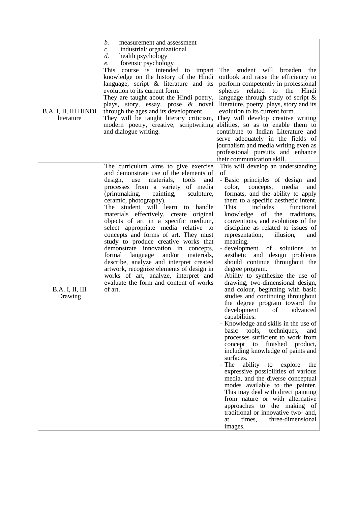|                                     | b.<br>measurement and assessment<br>industrial/organizational<br>$\mathcal{C}$ .                                                                                                                                                                                                                                                                                                                                                                                                                                                                                                                                                                                                                                                                                       |                                                                                                                                                                                                                                                                                                                                                                                                                                                                                                                                                                                                                                                                                                                                                                                                                                                                                                                                                                                                                                                                                                                                                                                                                                                                                                                                                        |
|-------------------------------------|------------------------------------------------------------------------------------------------------------------------------------------------------------------------------------------------------------------------------------------------------------------------------------------------------------------------------------------------------------------------------------------------------------------------------------------------------------------------------------------------------------------------------------------------------------------------------------------------------------------------------------------------------------------------------------------------------------------------------------------------------------------------|--------------------------------------------------------------------------------------------------------------------------------------------------------------------------------------------------------------------------------------------------------------------------------------------------------------------------------------------------------------------------------------------------------------------------------------------------------------------------------------------------------------------------------------------------------------------------------------------------------------------------------------------------------------------------------------------------------------------------------------------------------------------------------------------------------------------------------------------------------------------------------------------------------------------------------------------------------------------------------------------------------------------------------------------------------------------------------------------------------------------------------------------------------------------------------------------------------------------------------------------------------------------------------------------------------------------------------------------------------|
|                                     | health psychology<br>d.                                                                                                                                                                                                                                                                                                                                                                                                                                                                                                                                                                                                                                                                                                                                                |                                                                                                                                                                                                                                                                                                                                                                                                                                                                                                                                                                                                                                                                                                                                                                                                                                                                                                                                                                                                                                                                                                                                                                                                                                                                                                                                                        |
|                                     | forensic psychology<br>e.                                                                                                                                                                                                                                                                                                                                                                                                                                                                                                                                                                                                                                                                                                                                              |                                                                                                                                                                                                                                                                                                                                                                                                                                                                                                                                                                                                                                                                                                                                                                                                                                                                                                                                                                                                                                                                                                                                                                                                                                                                                                                                                        |
| B.A. I, II, III HINDI<br>literature | This course is intended to impart<br>knowledge on the history of the Hindi<br>language, script & literature and its<br>evolution to its current form.<br>They are taught about the Hindi poetry,<br>plays, story, essay, prose & novel<br>through the ages and its development.<br>They will be taught literary criticism,                                                                                                                                                                                                                                                                                                                                                                                                                                             | The<br>student will broaden<br>the<br>outlook and raise the efficiency to<br>perform competently in professional<br>spheres related to the Hindi<br>language through study of script $\&$<br>literature, poetry, plays, story and its<br>evolution to its current form.<br>They will develop creative writing                                                                                                                                                                                                                                                                                                                                                                                                                                                                                                                                                                                                                                                                                                                                                                                                                                                                                                                                                                                                                                          |
|                                     | modern poetry, creative, scriptwriting<br>and dialogue writing.                                                                                                                                                                                                                                                                                                                                                                                                                                                                                                                                                                                                                                                                                                        | abilities, so as to enable them to<br>contribute to Indian Literature and<br>serve adequately in the fields of<br>journalism and media writing even as<br>professional pursuits and enhance<br>their communication skill.                                                                                                                                                                                                                                                                                                                                                                                                                                                                                                                                                                                                                                                                                                                                                                                                                                                                                                                                                                                                                                                                                                                              |
| <b>B.A.</b> I, II, III<br>Drawing   | The curriculum aims to give exercise<br>and demonstrate use of the elements of<br>design,<br>materials,<br>use<br>tools<br>and<br>processes from a variety of media<br>(printmaking,<br>painting,<br>sculpture,<br>ceramic, photography).<br>The student will learn<br>handle<br>to<br>materials effectively, create original<br>objects of art in a specific medium,<br>select appropriate media relative to<br>concepts and forms of art. They must<br>study to produce creative works that<br>demonstrate innovation in concepts,<br>language<br>and/or<br>formal<br>materials,<br>describe, analyze and interpret created<br>artwork, recognize elements of design in<br>works of art, analyze, interpret and<br>evaluate the form and content of works<br>of art. | This will develop an understanding<br>of<br>- Basic principles of design and<br>media<br>color,<br>concepts,<br>and<br>formats, and the ability to apply<br>them to a specific aesthetic intent.<br><b>This</b><br>includes<br>functional<br>knowledge of the<br>traditions,<br>conventions, and evolutions of the<br>discipline as related to issues of<br>representation,<br>illusion,<br>and<br>meaning.<br>- development of solutions<br>to<br>aesthetic and design problems<br>should continue throughout the<br>degree program.<br>- Ability to synthesize the use of<br>drawing, two-dimensional design,<br>and colour, beginning with basic<br>studies and continuing throughout<br>the degree program toward the<br>development<br>of<br>advanced<br>capabilities.<br>- Knowledge and skills in the use of<br>techniques,<br>basic<br>tools,<br>and<br>processes sufficient to work from<br>finished<br>product,<br>concept<br>to<br>including knowledge of paints and<br>surfaces.<br>- The<br>ability<br>to<br>explore<br>the<br>expressive possibilities of various<br>media, and the diverse conceptual<br>modes available to the painter.<br>This may deal with direct painting<br>from nature or with alternative<br>approaches to the making of<br>traditional or innovative two- and,<br>three-dimensional<br>times,<br>at<br>images. |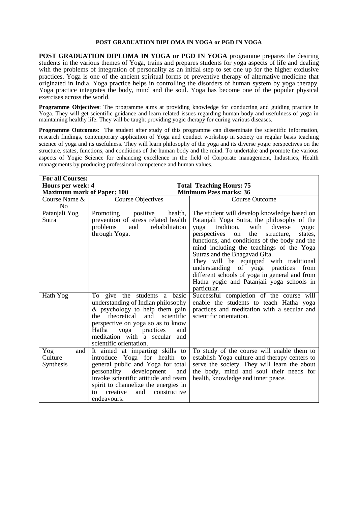#### **POST GRADUATION DIPLOMA IN YOGA or PGD IN YOGA**

**POST GRADUATION DIPLOMA IN YOGA or PGD IN YOGA** programme prepares the desiring students in the various themes of Yoga, trains and prepares students for yoga aspects of life and dealing with the problems of integration of personality as an initial step to set one up for the higher exclusive practices. Yoga is one of the ancient spiritual forms of preventive therapy of alternative medicine that originated in India. Yoga practice helps in controlling the disorders of human system by yoga therapy. Yoga practice integrates the body, mind and the soul. Yoga has become one of the popular physical exercises across the world.

**Programme Objectives**: The programme aims at providing knowledge for conducting and guiding practice in Yoga. They will get scientific guidance and learn related issues regarding human body and usefulness of yoga in maintaining healthy life. They will be taught providing yogic therapy for curing various diseases.

**Programme Outcomes:** The student after study of this programme can disseminate the scientific information, research findings, contemporary application of Yoga and conduct workshop in society on regular basis teaching science of yoga and its usefulness. They will learn philosophy of the yoga and its diverse yogic perspectives on the structure, states, functions, and conditions of the human body and the mind. To undertake and promote the various aspects of Yogic Science for enhancing excellence in the field of Corporate management, Industries, Health managements by producing professional competence and human values.

| <b>For all Courses:</b>            |                                                                                                                                                                                                                                                                                  |                                                                                                                                                                                                                                                                                                                                                                                                                                                                                                                                    |  |
|------------------------------------|----------------------------------------------------------------------------------------------------------------------------------------------------------------------------------------------------------------------------------------------------------------------------------|------------------------------------------------------------------------------------------------------------------------------------------------------------------------------------------------------------------------------------------------------------------------------------------------------------------------------------------------------------------------------------------------------------------------------------------------------------------------------------------------------------------------------------|--|
| Hours per week: 4                  |                                                                                                                                                                                                                                                                                  | <b>Total Teaching Hours: 75</b>                                                                                                                                                                                                                                                                                                                                                                                                                                                                                                    |  |
| <b>Maximum mark of Paper: 100</b>  |                                                                                                                                                                                                                                                                                  | <b>Minimum Pass marks: 36</b>                                                                                                                                                                                                                                                                                                                                                                                                                                                                                                      |  |
| Course Name &<br>N <sub>o</sub>    | <b>Course Objectives</b>                                                                                                                                                                                                                                                         | <b>Course Outcome</b>                                                                                                                                                                                                                                                                                                                                                                                                                                                                                                              |  |
| Patanjali Yog<br>Sutra             | positive<br>Promoting<br>health,<br>prevention of stress related health<br>problems<br>rehabilitation<br>and<br>through Yoga.                                                                                                                                                    | The student will develop knowledge based on<br>Patanjali Yoga Sutra, the philosophy of the<br>tradition,<br>diverse<br>with<br>yoga<br>yogic<br>perspectives<br>on<br>the<br>states,<br>structure,<br>functions, and conditions of the body and the<br>mind including the teachings of the Yoga<br>Sutras and the Bhagavad Gita.<br>They will be equipped with traditional<br>understanding of yoga practices<br>from<br>different schools of yoga in general and from<br>Hatha yogic and Patanjali yoga schools in<br>particular. |  |
| Hath Yog                           | To give the students a basic<br>understanding of Indian philosophy<br>& psychology to help them gain<br>theoretical<br>and<br>scientific<br>the<br>perspective on yoga so as to know<br>Hatha yoga practices<br>and<br>meditation with a secular and<br>scientific orientation.  | Successful completion of the course will<br>enable the students to teach Hatha yoga<br>practices and meditation with a secular and<br>scientific orientation.                                                                                                                                                                                                                                                                                                                                                                      |  |
| Yog<br>and<br>Culture<br>Synthesis | It aimed at imparting skills to<br>introduce Yoga for health to<br>general public and Yoga for total<br>development<br>personality<br>and<br>invoke scientific attitude and team<br>spirit to channelize the energies in<br>creative<br>constructive<br>and<br>to<br>endeavours. | To study of the course will enable them to<br>establish Yoga culture and therapy centers to<br>serve the society. They will learn the about<br>the body, mind and soul their needs for<br>health, knowledge and inner peace.                                                                                                                                                                                                                                                                                                       |  |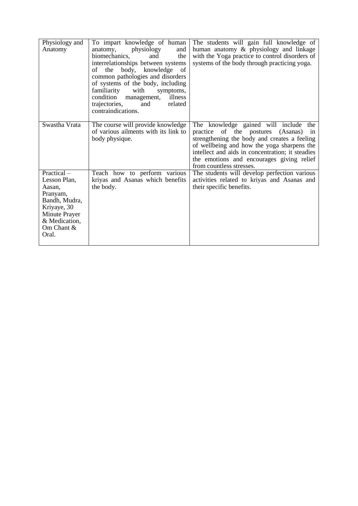| Physiology and<br>Anatomy                                                                                                                      | To impart knowledge of human<br>physiology<br>anatomy,<br>and<br>biomechanics,<br>and<br>the<br>interrelationships between systems<br>of the body, knowledge<br><sub>of</sub><br>common pathologies and disorders<br>of systems of the body, including<br>familiarity<br>with<br>symptoms,<br>condition management,<br>illness<br>trajectories,<br>and<br>related<br>contraindications. | The students will gain full knowledge of<br>human anatomy & physiology and linkage<br>with the Yoga practice to control disorders of<br>systems of the body through practicing yoga.                                                                                                                           |
|------------------------------------------------------------------------------------------------------------------------------------------------|-----------------------------------------------------------------------------------------------------------------------------------------------------------------------------------------------------------------------------------------------------------------------------------------------------------------------------------------------------------------------------------------|----------------------------------------------------------------------------------------------------------------------------------------------------------------------------------------------------------------------------------------------------------------------------------------------------------------|
| Swastha Vrata                                                                                                                                  | The course will provide knowledge<br>of various ailments with its link to<br>body physique.                                                                                                                                                                                                                                                                                             | The knowledge gained will include<br>the<br>practice of the postures (Asanas)<br>1n<br>strengthening the body and creates a feeling<br>of wellbeing and how the yoga sharpens the<br>intellect and aids in concentration; it steadies<br>the emotions and encourages giving relief<br>from countless stresses. |
| $Practical -$<br>Lesson Plan,<br>Aasan,<br>Pranyam,<br>Bandh, Mudra,<br>Kriyaye, 30<br>Minute Prayer<br>& Medication,<br>Om Chant $&$<br>Oral. | Teach how to perform various<br>kriyas and Asanas which benefits<br>the body.                                                                                                                                                                                                                                                                                                           | The students will develop perfection various<br>activities related to kriyas and Asanas and<br>their specific benefits.                                                                                                                                                                                        |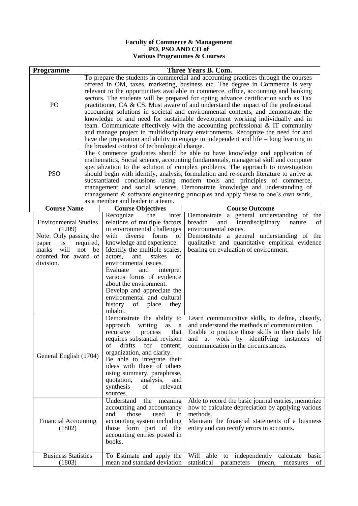#### **Faculty of Commerce & Management PO, PSO AND CO of Various Programmes & Courses**

| Programme                                                                                                                                                                                                                            | Three Years B. Com. |                                                                                                                                                                                                                                                                                                                                                                                                                                                                                                                                                                                                                                                                                                                                                                                                                                                                                                                                                                                                                                                                                                                                                                                                                                                                                                                                                                                                                                                     |                                                                                                                                                                                                                                                                         |  |
|--------------------------------------------------------------------------------------------------------------------------------------------------------------------------------------------------------------------------------------|---------------------|-----------------------------------------------------------------------------------------------------------------------------------------------------------------------------------------------------------------------------------------------------------------------------------------------------------------------------------------------------------------------------------------------------------------------------------------------------------------------------------------------------------------------------------------------------------------------------------------------------------------------------------------------------------------------------------------------------------------------------------------------------------------------------------------------------------------------------------------------------------------------------------------------------------------------------------------------------------------------------------------------------------------------------------------------------------------------------------------------------------------------------------------------------------------------------------------------------------------------------------------------------------------------------------------------------------------------------------------------------------------------------------------------------------------------------------------------------|-------------------------------------------------------------------------------------------------------------------------------------------------------------------------------------------------------------------------------------------------------------------------|--|
| PO<br><b>PSO</b>                                                                                                                                                                                                                     |                     | To prepare the students in commercial and accounting practices through the courses<br>offered in OM, taxes, marketing, business etc. The degree in Commerce is very<br>relevant to the opportunities available in commerce, office, accounting and banking<br>sectors. The students will be prepared for opting advance certification such as Tax<br>practitioner, $CA \& CS$ . Must aware of and understand the impact of the professional<br>accounting solutions in societal and environmental contexts, and demonstrate the<br>knowledge of and need for sustainable development working individually and in<br>team. Communicate effectively with the accounting professional $\&$ IT community<br>and manage project in multidisciplinary environments. Recognize the need for and<br>have the preparation and ability to engage in independent and life $-$ long learning in<br>the broadest context of technological change.<br>The Commerce graduates should be able to have knowledge and application of<br>mathematics, Social science, accounting fundamentals, managerial skill and computer<br>specialization to the solution of complex problems. The approach to investigation<br>should begin with identify, analysis, formulation and re-search literature to arrive at<br>substantiated conclusions using modern tools and principles of commerce,<br>management and social sciences. Demonstrate knowledge and understanding of |                                                                                                                                                                                                                                                                         |  |
|                                                                                                                                                                                                                                      |                     | as a member and leader in a team.                                                                                                                                                                                                                                                                                                                                                                                                                                                                                                                                                                                                                                                                                                                                                                                                                                                                                                                                                                                                                                                                                                                                                                                                                                                                                                                                                                                                                   | management & software engineering principles and apply these to one's own work,                                                                                                                                                                                         |  |
| <b>Course Name</b>                                                                                                                                                                                                                   |                     | <b>Course Objectives</b>                                                                                                                                                                                                                                                                                                                                                                                                                                                                                                                                                                                                                                                                                                                                                                                                                                                                                                                                                                                                                                                                                                                                                                                                                                                                                                                                                                                                                            | <b>Course Outcome</b>                                                                                                                                                                                                                                                   |  |
| <b>Environmental Studies</b><br>(1209)<br>Note: Only passing the<br>is<br>paper<br>will<br>marks<br>counted for award of<br>division.                                                                                                | required,<br>not be | Recognize<br>the<br>inter<br>relations of multiple factors<br>in environmental challenges<br>diverse<br>forms of<br>with<br>knowledge and experience.<br>Identify the multiple scales,<br>and<br>actors,<br>stakes<br>of<br>environmental issues.<br>Evaluate<br>and<br>interpret<br>various forms of evidence<br>about the environment.<br>Develop and appreciate the<br>environmental and cultural<br>history<br>of<br>place<br>they<br>inhabit.                                                                                                                                                                                                                                                                                                                                                                                                                                                                                                                                                                                                                                                                                                                                                                                                                                                                                                                                                                                                  | Demonstrate a general understanding of<br>the<br>breadth<br>interdisciplinary<br>and<br>of<br>nature<br>environmental issues.<br>Demonstrate a general understanding of the<br>qualitative and quantitative empirical evidence<br>bearing on evaluation of environment. |  |
| General English (1704)                                                                                                                                                                                                               |                     | Demonstrate the ability to<br>approach<br>writing<br>as<br>a<br>recursive<br>process<br>that  <br>requires substantial revision<br>drafts<br>of<br>for<br>content,<br>organization, and clarity.<br>Be able to integrate their<br>ideas with those of others<br>using summary, paraphrase,<br>quotation,<br>analysis,<br>and<br>relevant<br>synthesis<br>of<br>sources.                                                                                                                                                                                                                                                                                                                                                                                                                                                                                                                                                                                                                                                                                                                                                                                                                                                                                                                                                                                                                                                                             | Learn communicative skills, to define, classify,<br>and understand the methods of communication.<br>Enable to practice those skills in their daily life<br>and at work by identifying instances<br>of<br>communication in the circumstances.                            |  |
| Understand<br>the<br>meaning<br>accounting and accountancy<br>and<br>those<br>used<br>in<br>accounting system including<br><b>Financial Accounting</b><br>those form part of the<br>(1802)<br>accounting entries posted in<br>books. |                     |                                                                                                                                                                                                                                                                                                                                                                                                                                                                                                                                                                                                                                                                                                                                                                                                                                                                                                                                                                                                                                                                                                                                                                                                                                                                                                                                                                                                                                                     | Able to record the basic journal entries, memorize<br>how to calculate depreciation by applying various<br>methods.<br>Maintain the financial statements of a business<br>entity and can rectify errors in accounts.                                                    |  |
| <b>Business Statistics</b><br>(1803)                                                                                                                                                                                                 |                     | To Estimate and apply the<br>mean and standard deviation                                                                                                                                                                                                                                                                                                                                                                                                                                                                                                                                                                                                                                                                                                                                                                                                                                                                                                                                                                                                                                                                                                                                                                                                                                                                                                                                                                                            | Will able<br>to independently calculate<br>basic<br>statistical<br>(mean,<br>parameters<br>measures<br>of                                                                                                                                                               |  |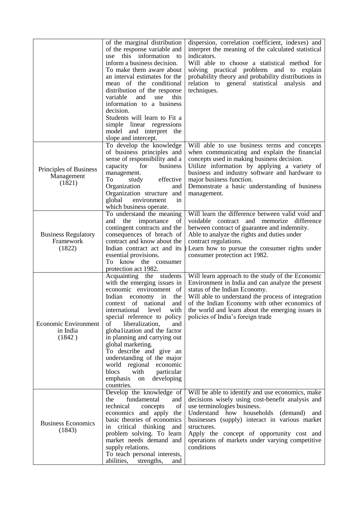|                                                   | of the marginal distribution<br>of the response variable and<br>this information to<br>use<br>inform a business decision.<br>To make them aware about<br>an interval estimates for the<br>mean of the conditional<br>distribution of the response<br>variable<br>and<br>use<br>this<br>information to a business<br>decision.<br>Students will learn to Fit a<br>simple linear regressions<br>model and interpret the<br>slope and intercept.                                                                           | dispersion, correlation coefficient, indexes) and<br>interpret the meaning of the calculated statistical<br>indicators.<br>Will able to choose a statistical method for<br>solving practical problems and to explain<br>probability theory and probability distributions in<br>relation to general statistical analysis<br>and<br>techniques.                |
|---------------------------------------------------|-------------------------------------------------------------------------------------------------------------------------------------------------------------------------------------------------------------------------------------------------------------------------------------------------------------------------------------------------------------------------------------------------------------------------------------------------------------------------------------------------------------------------|--------------------------------------------------------------------------------------------------------------------------------------------------------------------------------------------------------------------------------------------------------------------------------------------------------------------------------------------------------------|
| Principles of Business<br>Management<br>(1821)    | To develop the knowledge<br>of business principles and<br>sense of responsibility and a<br>capacity<br>for<br>business<br>management.<br>To<br>effective<br>study<br>Organization<br>and<br>Organization structure and<br>global<br>environment<br>in<br>which business operate.                                                                                                                                                                                                                                        | Will able to use business terms and concepts<br>when communicating and explain the financial<br>concepts used in making business decision.<br>Utilize information by applying a variety of<br>business and industry software and hardware to<br>major business function.<br>Demonstrate a basic understanding of business<br>management.                     |
| <b>Business Regulatory</b><br>Framework<br>(1822) | To understand the meaning<br>the<br>importance<br>of<br>and<br>contingent contracts and the<br>consequences of breach of<br>contract and know about the<br>Indian contract act and its<br>essential provisions.<br>To know the consumer<br>protection act 1982.                                                                                                                                                                                                                                                         | Will learn the difference between valid void and<br>voidable contract and memorize difference<br>between contract of guarantee and indemnity.<br>Able to analyze the rights and duties under<br>contract regulations.<br>Learn how to pursue the consumer rights under<br>consumer protection act 1982.                                                      |
| <b>Economic Environment</b><br>in India<br>(1842) | Acquainting the students<br>with the emerging issues in<br>economic environment of<br>Indian<br>economy<br>in<br>the<br>context of national<br>and<br>international<br>level<br>with<br>special reference to policy<br>οf<br>liberalization,<br>and<br>globalization and the factor<br>in planning and carrying out<br>global marketing.<br>To describe and give an<br>understanding of the major<br>economic<br>world<br>regional<br>blocs<br>with<br>particular<br>emphasis<br>developing<br>${\rm on}$<br>countries. | Will learn approach to the study of the Economic<br>Environment in India and can analyze the present<br>status of the Indian Economy.<br>Will able to understand the process of integration<br>of the Indian Economy with other economics of<br>the world and learn about the emerging issues in<br>policies of India's foreign trade                        |
| <b>Business Economics</b><br>(1843)               | Develop the knowledge of<br>fundamental<br>the<br>and<br>of<br>technical<br>concepts<br>economics and apply the<br>basic theories of economics<br>critical thinking<br>and<br>1n<br>problem solving. To learn<br>market needs demand and<br>supply relations.<br>To teach personal interests,<br>abilities,<br>strengths,<br>and                                                                                                                                                                                        | Will be able to identify and use economics, make<br>decisions wisely using cost-benefit analysis and<br>use terminologies business.<br>Understand how households (demand) and<br>businesses (supply) interact in various market<br>structures.<br>Apply the concept of opportunity cost and<br>operations of markets under varying competitive<br>conditions |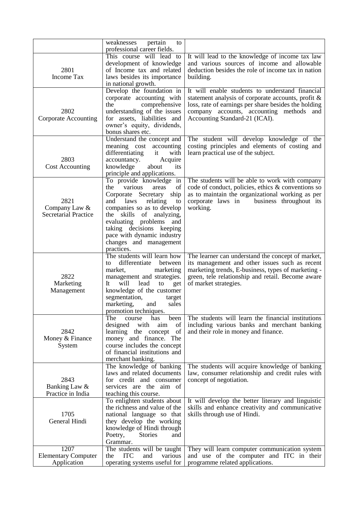|                                                      | weaknesses<br>pertain<br>to<br>professional career fields.                                                                                                                                                                                                                                                            |                                                                                                                                                                                                                                                |
|------------------------------------------------------|-----------------------------------------------------------------------------------------------------------------------------------------------------------------------------------------------------------------------------------------------------------------------------------------------------------------------|------------------------------------------------------------------------------------------------------------------------------------------------------------------------------------------------------------------------------------------------|
| 2801<br><b>Income Tax</b>                            | This course will lead to<br>development of knowledge<br>of Income tax and related<br>laws besides its importance<br>in national growth.                                                                                                                                                                               | It will lead to the knowledge of income tax law<br>and various sources of income and allowable<br>deduction besides the role of income tax in nation<br>building.                                                                              |
| 2802<br><b>Corporate Accounting</b>                  | Develop the foundation in<br>corporate accounting with<br>comprehensive<br>the<br>understanding of the issues<br>for assets, liabilities and<br>owner's equity, dividends,<br>bonus shares etc.                                                                                                                       | It will enable students to understand financial<br>statement analysis of corporate accounts, profit &<br>loss, rate of earnings per share besides the holding<br>company accounts, accounting methods<br>and<br>Accounting Standard-21 (ICAI). |
| 2803<br><b>Cost Accounting</b>                       | Understand the concept and<br>meaning cost<br>accounting<br>differentiating<br>it<br>with<br>accountancy.<br>Acquire<br>its<br>knowledge<br>about<br>principle and applications.                                                                                                                                      | The student will develop knowledge of the<br>costing principles and elements of costing and<br>learn practical use of the subject.                                                                                                             |
| 2821<br>Company Law &<br><b>Secretarial Practice</b> | To provide knowledge in<br>various<br>the<br>of<br>areas<br>Corporate Secretary<br>ship<br>laws<br>relating<br>and<br>to<br>companies so as to develop<br>skills of analyzing,<br>the<br>evaluating problems<br>and<br>taking decisions keeping<br>pace with dynamic industry<br>changes and management<br>practices. | The students will be able to work with company<br>code of conduct, policies, ethics & conventions so<br>as to maintain the organizational working as per<br>corporate laws in business throughout its<br>working.                              |
| 2822<br>Marketing<br>Management                      | The students will learn how<br>differentiate<br>between<br>to<br>market,<br>marketing<br>management and strategies.<br>It<br>will<br>lead<br>to<br>get<br>knowledge of the customer<br>segmentation,<br>target<br>marketing,<br>and<br>sales<br>promotion techniques.                                                 | The learner can understand the concept of market,<br>its management and other issues such as recent<br>marketing trends, E-business, types of marketing -<br>green, tele relationship and retail. Become aware<br>of market strategies.        |
| 2842<br>Money & Finance<br>System                    | The<br>has<br>been<br>course<br>with<br>of<br>designed<br>aim<br>learning<br>the concept<br>of<br>money and finance. The<br>course includes the concept<br>of financial institutions and<br>merchant banking.                                                                                                         | The students will learn the financial institutions<br>including various banks and merchant banking<br>and their role in money and finance.                                                                                                     |
| 2843<br>Banking Law &<br>Practice in India           | The knowledge of banking<br>laws and related documents<br>for credit and consumer<br>services are the aim of<br>teaching this course.                                                                                                                                                                                 | The students will acquire knowledge of banking<br>law, consumer relationship and credit rules with<br>concept of negotiation.                                                                                                                  |
| 1705<br>General Hindi                                | To enlighten students about<br>the richness and value of the<br>national language so that<br>they develop the working<br>knowledge of Hindi through<br>Poetry,<br><b>Stories</b><br>and<br>Grammar.                                                                                                                   | It will develop the better literary and linguistic<br>skills and enhance creativity and communicative<br>skills through use of Hindi.                                                                                                          |
| 1207<br><b>Elementary Computer</b><br>Application    | The students will be taught<br>various<br><b>ITC</b><br>and<br>the<br>operating systems useful for                                                                                                                                                                                                                    | They will learn computer communication system<br>and use of the computer and ITC in their<br>programme related applications.                                                                                                                   |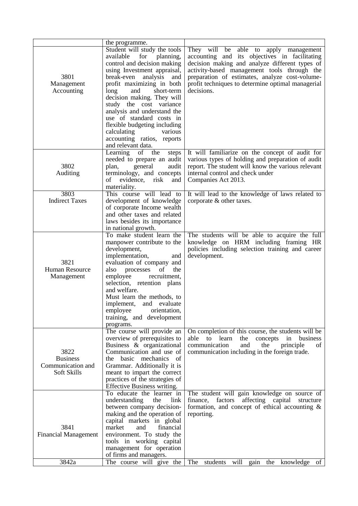|                                                             | the programme.                                                                                                                                                                                                                                                                                                                                                                                                                                        |                                                                                                                                                                                                                                                                                                              |
|-------------------------------------------------------------|-------------------------------------------------------------------------------------------------------------------------------------------------------------------------------------------------------------------------------------------------------------------------------------------------------------------------------------------------------------------------------------------------------------------------------------------------------|--------------------------------------------------------------------------------------------------------------------------------------------------------------------------------------------------------------------------------------------------------------------------------------------------------------|
| 3801<br>Management<br>Accounting                            | Student will study the tools<br>available<br>for<br>planning,<br>control and decision making<br>using Investment appraisal,<br>break-even analysis<br>and<br>profit maximizing in both<br>long<br>short-term<br>and<br>decision making. They will<br>study the cost variance<br>analysis and understand the<br>use of standard costs in<br>flexible budgeting including<br>calculating<br>various<br>accounting ratios, reports<br>and relevant data. | They will be able to apply management<br>accounting and its objectives in facilitating<br>decision making and analyze different types of<br>activity-based management tools through the<br>preparation of estimates, analyze cost-volume-<br>profit techniques to determine optimal managerial<br>decisions. |
| 3802<br>Auditing                                            | Learning of the<br>steps<br>needed to prepare an audit<br>general<br>audit<br>plan,<br>terminology, and concepts<br>οf<br>evidence,<br>risk<br>and<br>materiality.                                                                                                                                                                                                                                                                                    | It will familiarize on the concept of audit for<br>various types of holding and preparation of audit<br>report. The student will know the various relevant<br>internal control and check under<br>Companies Act 2013.                                                                                        |
| 3803                                                        | This course will lead to                                                                                                                                                                                                                                                                                                                                                                                                                              | It will lead to the knowledge of laws related to                                                                                                                                                                                                                                                             |
| <b>Indirect Taxes</b>                                       | development of knowledge<br>of corporate Income wealth<br>and other taxes and related<br>laws besides its importance<br>in national growth.                                                                                                                                                                                                                                                                                                           | corporate & other taxes.                                                                                                                                                                                                                                                                                     |
| 3821<br>Human Resource<br>Management                        | To make student learn the<br>manpower contribute to the<br>development,<br>implementation,<br>and<br>evaluation of company and<br>processes<br>the<br>also<br>of<br>employee<br>recruitment,<br>selection, retention plans<br>and welfare.<br>Must learn the methods, to<br>implement, and evaluate<br>employee<br>orientation,<br>training, and development<br>programs.                                                                             | The students will be able to acquire the full<br>knowledge on HRM including framing HR<br>policies including selection training and career<br>development.                                                                                                                                                   |
| 3822<br><b>Business</b><br>Communication and<br>Soft Skills | The course will provide an<br>overview of prerequisites to<br>Business & organizational<br>Communication and use of<br>the basic mechanics of<br>Grammar. Additionally it is<br>meant to impart the correct<br>practices of the strategies of<br>Effective Business writing.                                                                                                                                                                          | On completion of this course, the students will be<br>business<br>able<br>learn<br>the<br>concepts<br>in<br>to<br>communication<br>the<br>principle<br>and<br>of<br>communication including in the foreign trade.                                                                                            |
| 3841<br><b>Financial Management</b><br>3842a                | To educate the learner in<br>understanding<br>the<br>link<br>between company decision-<br>making and the operation of<br>capital markets in global<br>market<br>financial<br>and<br>environment. To study the<br>tools in working capital<br>management for operation<br>of firms and managers.<br>The course will give the                                                                                                                           | The student will gain knowledge on source of<br>affecting capital<br>finance,<br>factors<br>structure<br>formation, and concept of ethical accounting $\&$<br>reporting.<br>The<br>will<br>students<br>gain<br>the<br>knowledge of                                                                           |
|                                                             |                                                                                                                                                                                                                                                                                                                                                                                                                                                       |                                                                                                                                                                                                                                                                                                              |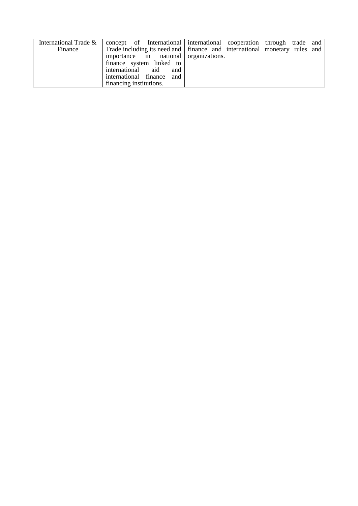| International Trade & | concept of International international cooperation through trade and        |  |  |  |
|-----------------------|-----------------------------------------------------------------------------|--|--|--|
| Finance               | Trade including its need and   finance and international monetary rules and |  |  |  |
|                       | importance in national organizations.                                       |  |  |  |
|                       | finance system linked to                                                    |  |  |  |
|                       | international aid and                                                       |  |  |  |
|                       | international finance and                                                   |  |  |  |
|                       | financing institutions.                                                     |  |  |  |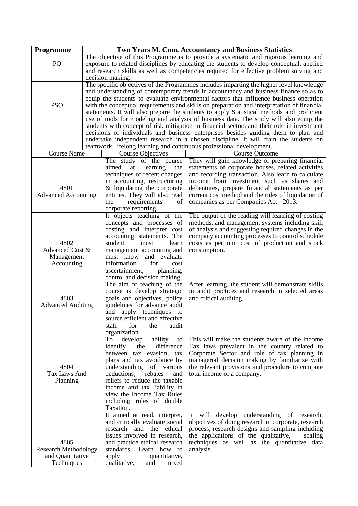| Programme                   | <b>Two Years M. Com. Accountancy and Business Statistics</b> |                                |                                                                                            |
|-----------------------------|--------------------------------------------------------------|--------------------------------|--------------------------------------------------------------------------------------------|
|                             |                                                              |                                | The objective of this Programme is to provide a systematic and rigorous learning and       |
| PO                          |                                                              |                                | exposure to related disciplines by educating the students to develop conceptual, applied   |
|                             |                                                              |                                | and research skills as well as competencies required for effective problem solving and     |
|                             |                                                              | decision making.               |                                                                                            |
|                             |                                                              |                                | The specific objectives of the Programmes includes imparting the higher level knowledge    |
|                             |                                                              |                                | and understanding of contemporary trends in accountancy and business finance so as to      |
|                             |                                                              |                                | equip the students to evaluate environmental factors that influence business operation     |
| <b>PSO</b>                  |                                                              |                                | with the conceptual requirements and skills on preparation and interpretation of financial |
|                             |                                                              |                                | statements. It will also prepare the students to apply Statistical methods and proficient  |
|                             |                                                              |                                | use of tools for modeling and analysis of business data. The study will also equip the     |
|                             |                                                              |                                | students with concept of risk mitigation in financial sectors and their role in investment |
|                             |                                                              |                                | decisions of individuals and business enterprises besides guiding them to plan and         |
|                             |                                                              |                                | undertake independent research in a chosen discipline. It will train the students on       |
|                             |                                                              |                                | teamwork, lifelong learning and continuous professional development.                       |
| <b>Course Name</b>          |                                                              | Course Objectives              | <b>Course Outcome</b>                                                                      |
|                             |                                                              | The study of the course        | They will gain knowledge of preparing financial                                            |
|                             |                                                              | aimed<br>learning<br>the<br>at | statements of corporate houses, related activities                                         |
|                             |                                                              | techniques of recent changes   | and recording transaction. Also learn to calculate                                         |
|                             |                                                              | in accounting, restructuring   | income from investment such as shares and                                                  |
| 4801                        |                                                              | $&$ liquidating the corporate  | debentures, prepare financial statements as per                                            |
| <b>Advanced Accounting</b>  |                                                              | entities. They will also read  | current cost method and the rules of liquidation of                                        |
|                             |                                                              | the<br>requirements<br>of      | companies as per Companies Act - 2013.                                                     |
|                             |                                                              | corporate reporting.           |                                                                                            |
|                             |                                                              | It objects teaching of the     | The output of the reading will learning of costing                                         |
|                             |                                                              | concepts and processes of      | methods, and management systems including skill                                            |
|                             |                                                              | costing and interpret cost     | of analysis and suggesting required changes in the                                         |
|                             |                                                              | accounting statements. The     | company accounting processes to control schedule                                           |
| 4802                        |                                                              | student<br>must<br>learn       | costs as per unit cost of production and stock                                             |
| Advanced Cost &             |                                                              | management accounting and      | consumption.                                                                               |
| Management                  |                                                              | must know<br>and evaluate      |                                                                                            |
| Accounting                  |                                                              | information<br>for<br>cost     |                                                                                            |
|                             |                                                              | ascertainment,<br>planning,    |                                                                                            |
|                             |                                                              | control and decision making.   |                                                                                            |
|                             |                                                              | The aim of teaching of the     | After learning, the student will demonstrate skills                                        |
|                             |                                                              | course is develop strategic    | in audit practices and research in selected areas                                          |
| 4803                        |                                                              | goals and objectives, policy   | and critical auditing.                                                                     |
| <b>Advanced Auditing</b>    |                                                              | guidelines for advance audit   |                                                                                            |
|                             |                                                              | and<br>apply techniques to     |                                                                                            |
|                             |                                                              | source efficient and effective |                                                                                            |
|                             |                                                              | staff<br>for<br>the<br>audit   |                                                                                            |
|                             |                                                              | organization.                  |                                                                                            |
|                             |                                                              | ability<br>To<br>develop<br>to | This will make the students aware of the Income                                            |
|                             |                                                              | difference<br>identify<br>the  | Tax laws prevalent in the country related to                                               |
|                             |                                                              | between tax evasion, tax       | Corporate Sector and role of tax planning in                                               |
|                             |                                                              | plans and tax avoidance by     | managerial decision making by familiarize with                                             |
| 4804                        |                                                              | understanding of various       | the relevant provisions and procedure to compute                                           |
| Tax Laws And                |                                                              | deductions,<br>rebates<br>and  | total income of a company.                                                                 |
| Planning                    |                                                              | reliefs to reduce the taxable  |                                                                                            |
|                             |                                                              | income and tax liability in    |                                                                                            |
|                             |                                                              | view the Income Tax Rules      |                                                                                            |
|                             |                                                              | including rules of double      |                                                                                            |
|                             |                                                              | Taxation.                      |                                                                                            |
|                             |                                                              | It aimed at read, interpret,   | It will develop understanding of research,                                                 |
|                             |                                                              | and critically evaluate social | objectives of doing research in corporate, research                                        |
|                             |                                                              | research and the ethical       | process, research designs and sampling including                                           |
|                             |                                                              | issues involved in research,   | the applications of the qualitative,<br>scaling                                            |
| 4805                        |                                                              | and practice ethical research  | techniques as well as the quantitative data                                                |
| <b>Research Methodology</b> |                                                              | standards. Learn how to        | analysis.                                                                                  |
| and Quantitative            |                                                              | quantitative,<br>apply         |                                                                                            |
| Techniques                  |                                                              | qualitative,<br>mixed<br>and   |                                                                                            |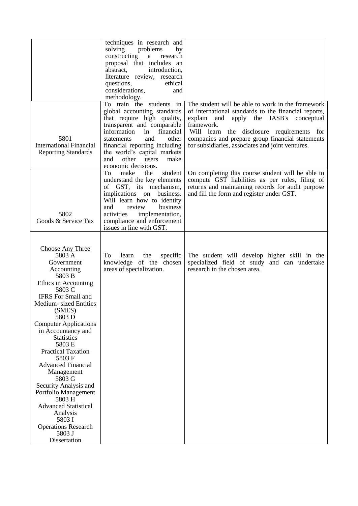|                                                                                                                                                                                                                                                                                                                                                                                                                                                                                                                                             | techniques in research and<br>solving<br>problems<br>by<br>constructing<br>research<br>a<br>proposal that includes an<br>abstract,<br>introduction,<br>literature review, research<br>questions,<br>ethical<br>considerations,<br>and<br>methodology.                                                       |                                                                                                                                                                                                                                                                                                                                   |
|---------------------------------------------------------------------------------------------------------------------------------------------------------------------------------------------------------------------------------------------------------------------------------------------------------------------------------------------------------------------------------------------------------------------------------------------------------------------------------------------------------------------------------------------|-------------------------------------------------------------------------------------------------------------------------------------------------------------------------------------------------------------------------------------------------------------------------------------------------------------|-----------------------------------------------------------------------------------------------------------------------------------------------------------------------------------------------------------------------------------------------------------------------------------------------------------------------------------|
| 5801<br><b>International Financial</b><br><b>Reporting Standards</b>                                                                                                                                                                                                                                                                                                                                                                                                                                                                        | To train the students in<br>global accounting standards<br>that require high quality,<br>transparent and comparable<br>information<br>financial<br>in<br>and<br>other<br>statements<br>financial reporting including<br>the world's capital markets<br>other<br>and<br>users<br>make<br>economic decisions. | The student will be able to work in the framework<br>of international standards to the financial reports,<br>explain<br>apply the IASB's<br>conceptual<br>and<br>framework.<br>Will learn the disclosure requirements for<br>companies and prepare group financial statements<br>for subsidiaries, associates and joint ventures. |
| 5802<br>Goods & Service Tax                                                                                                                                                                                                                                                                                                                                                                                                                                                                                                                 | To<br>make<br>student<br>the<br>understand the key elements<br>of GST, its mechanism,<br>implications on<br>business.<br>Will learn how to identity<br>review<br>business<br>and<br>implementation,<br>activities<br>compliance and enforcement<br>issues in line with GST.                                 | On completing this course student will be able to<br>compute GST liabilities as per rules, filing of<br>returns and maintaining records for audit purpose<br>and fill the form and register under GST.                                                                                                                            |
| <b>Choose Any Three</b><br>5803 A<br>Government<br>Accounting<br>5803 B<br>Ethics in Accounting<br>5803 C<br><b>IFRS</b> For Small and<br>Medium-sized Entities<br>(SMES)<br>5803 D<br><b>Computer Applications</b><br>in Accountancy and<br><b>Statistics</b><br>5803 E<br><b>Practical Taxation</b><br>5803F<br><b>Advanced Financial</b><br>Management<br>5803 G<br>Security Analysis and<br>Portfolio Management<br>5803 H<br><b>Advanced Statistical</b><br>Analysis<br>5803 I<br><b>Operations Research</b><br>5803 J<br>Dissertation | learn<br>To<br>the<br>specific<br>knowledge of the chosen<br>areas of specialization.                                                                                                                                                                                                                       | The student will develop higher skill in the<br>specialized field of study and can undertake<br>research in the chosen area.                                                                                                                                                                                                      |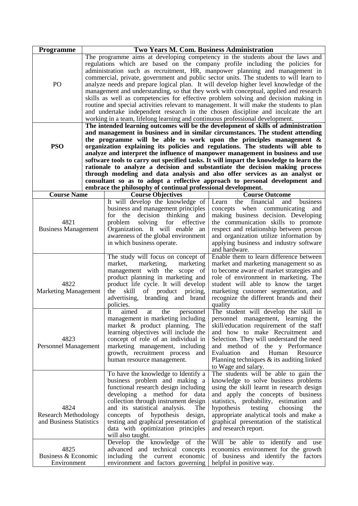| Programme                                                      | Two Years M. Com. Business Administration |                                                                                                                                                                                                                                                                                                                                                                                                                                                                                                                                                                                                                                                                                                                                                                                                                                                                                                                                                                                                                                                                                                                                                                                                                                                                                                                                                                                                                                                                                                                                                                     |                                                                                                                                                                                                                                                                                                                                                                                                                |  |
|----------------------------------------------------------------|-------------------------------------------|---------------------------------------------------------------------------------------------------------------------------------------------------------------------------------------------------------------------------------------------------------------------------------------------------------------------------------------------------------------------------------------------------------------------------------------------------------------------------------------------------------------------------------------------------------------------------------------------------------------------------------------------------------------------------------------------------------------------------------------------------------------------------------------------------------------------------------------------------------------------------------------------------------------------------------------------------------------------------------------------------------------------------------------------------------------------------------------------------------------------------------------------------------------------------------------------------------------------------------------------------------------------------------------------------------------------------------------------------------------------------------------------------------------------------------------------------------------------------------------------------------------------------------------------------------------------|----------------------------------------------------------------------------------------------------------------------------------------------------------------------------------------------------------------------------------------------------------------------------------------------------------------------------------------------------------------------------------------------------------------|--|
| PO<br><b>PSO</b>                                               |                                           | The programme aims at developing competency in the students about the laws and<br>regulations which are based on the company profile including the policies for<br>administration such as recruitment, HR, manpower planning and management in<br>commercial, private, government and public sector units. The students to will learn to<br>analyze needs and prepare logical plan. It will develop higher level knowledge of the<br>management and understanding, so that they work with conceptual, applied and research<br>skills as well as competencies for effective problem solving and decision making in<br>routine and special activities relevant to management. It will make the students to plan<br>and undertake independent research in the chosen discipline and inculcate the art<br>working in a team, lifelong learning and continuous professional development.<br>The intended learning outcomes will be the development of skills of administration<br>and management in business and in similar circumstances. The student attending<br>the programme will be able to work upon the principles management $\&$<br>organization explaining its policies and regulations. The students will able to<br>analyze and interpret the influence of manpower management in business and use<br>software tools to carry out specified tasks. It will impart the knowledge to learn the<br>rationale to analyze a decision and substantiate the decision making process<br>through modeling and data analysis and also offer services as an analyst or |                                                                                                                                                                                                                                                                                                                                                                                                                |  |
|                                                                |                                           |                                                                                                                                                                                                                                                                                                                                                                                                                                                                                                                                                                                                                                                                                                                                                                                                                                                                                                                                                                                                                                                                                                                                                                                                                                                                                                                                                                                                                                                                                                                                                                     | consultant so as to adopt a reflective approach to personal development and                                                                                                                                                                                                                                                                                                                                    |  |
|                                                                |                                           | embrace the philosophy of continual professional development.                                                                                                                                                                                                                                                                                                                                                                                                                                                                                                                                                                                                                                                                                                                                                                                                                                                                                                                                                                                                                                                                                                                                                                                                                                                                                                                                                                                                                                                                                                       |                                                                                                                                                                                                                                                                                                                                                                                                                |  |
| <b>Course Name</b>                                             |                                           | <b>Course Objectives</b><br>It will develop the knowledge of                                                                                                                                                                                                                                                                                                                                                                                                                                                                                                                                                                                                                                                                                                                                                                                                                                                                                                                                                                                                                                                                                                                                                                                                                                                                                                                                                                                                                                                                                                        | <b>Course Outcome</b><br>financial<br>the<br>and<br>business<br>Learn                                                                                                                                                                                                                                                                                                                                          |  |
| 4821<br><b>Business Management</b>                             |                                           | business and management principles<br>for the<br>decision<br>thinking<br>and<br>problem<br>solving<br>for<br>effective<br>Organization. It will enable an<br>awareness of the global environment<br>in which business operate.                                                                                                                                                                                                                                                                                                                                                                                                                                                                                                                                                                                                                                                                                                                                                                                                                                                                                                                                                                                                                                                                                                                                                                                                                                                                                                                                      | concepts when<br>communicating<br>and<br>making business decision. Developing<br>the communication skills to promote<br>respect and relationship between person<br>and organization utilize information by<br>applying business and industry software<br>and hardware.                                                                                                                                         |  |
|                                                                |                                           | The study will focus on concept of                                                                                                                                                                                                                                                                                                                                                                                                                                                                                                                                                                                                                                                                                                                                                                                                                                                                                                                                                                                                                                                                                                                                                                                                                                                                                                                                                                                                                                                                                                                                  | Enable them to learn difference between                                                                                                                                                                                                                                                                                                                                                                        |  |
| 4822<br><b>Marketing Management</b>                            |                                           | marketing,<br>market,<br>marketing<br>management with the scope of<br>product planning in marketing and<br>product life cycle. It will develop<br>the<br>product<br>skill<br>οf<br>pricing,<br>advertising,<br>branding and brand<br>policies.                                                                                                                                                                                                                                                                                                                                                                                                                                                                                                                                                                                                                                                                                                                                                                                                                                                                                                                                                                                                                                                                                                                                                                                                                                                                                                                      | market and marketing management so as<br>to become aware of market strategies and<br>role of environment in marketing. The<br>student will able to know the target<br>marketing customer segmentation, and<br>recognize the different brands and their<br>quality                                                                                                                                              |  |
| 4823<br><b>Personnel Management</b>                            |                                           | It<br>aimed<br>the<br>personnel<br>at<br>management in marketing including<br>market & product planning. The<br>learning objectives will include the<br>concept of role of an individual in<br>marketing management, including<br>growth, recruitment process and<br>human resource management.                                                                                                                                                                                                                                                                                                                                                                                                                                                                                                                                                                                                                                                                                                                                                                                                                                                                                                                                                                                                                                                                                                                                                                                                                                                                     | The student will develop the skill in<br>personnel management, learning the<br>skill/education requirement of the staff<br>and how to make Recruitment and<br>Selection. They will understand the need<br>and method of the y Performance<br>Evaluation<br>and<br>Human<br>Resource<br>Planning techniques $\&$ its auditing linked<br>to Wage and salary.                                                     |  |
| 4824<br><b>Research Methodology</b><br>and Business Statistics |                                           | To have the knowledge to Identify a<br>business problem and making a<br>functional research design including<br>developing a method for data<br>collection through instrument design<br>and its statistical analysis.<br>The<br>concepts of hypothesis design,<br>testing and graphical presentation of<br>data with optimization principles<br>will also taught.<br>Develop the knowledge of the                                                                                                                                                                                                                                                                                                                                                                                                                                                                                                                                                                                                                                                                                                                                                                                                                                                                                                                                                                                                                                                                                                                                                                   | The students will be able to gain the<br>knowledge to solve business problems<br>using the skill learnt in research design<br>and apply the concepts of business<br>statistics, probability, estimation<br>and<br>hypothesis<br>testing<br>choosing<br>the<br>appropriate analytical tools and make a<br>graphical presentation of the statistical<br>and research report.<br>Will be able to identify and use |  |
| 4825<br>Business & Economic<br>Environment                     |                                           | advanced and technical concepts<br>including the current economic<br>environment and factors governing                                                                                                                                                                                                                                                                                                                                                                                                                                                                                                                                                                                                                                                                                                                                                                                                                                                                                                                                                                                                                                                                                                                                                                                                                                                                                                                                                                                                                                                              | economics environment for the growth<br>of business and identify the factors<br>helpful in positive way.                                                                                                                                                                                                                                                                                                       |  |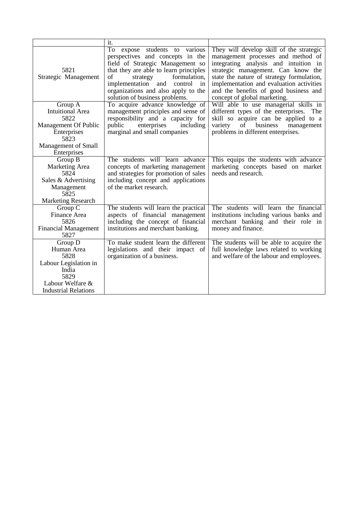|                                                                                                                               | it.                                                                                                                                                                                                                                                                                                  |                                                                                                                                                                                                                                                                                                                                 |
|-------------------------------------------------------------------------------------------------------------------------------|------------------------------------------------------------------------------------------------------------------------------------------------------------------------------------------------------------------------------------------------------------------------------------------------------|---------------------------------------------------------------------------------------------------------------------------------------------------------------------------------------------------------------------------------------------------------------------------------------------------------------------------------|
| 5821<br>Strategic Management                                                                                                  | To expose students to various<br>perspectives and concepts in the<br>field of Strategic Management so<br>that they are able to learn principles<br>formulation,<br>of<br>strategy<br>implementation<br>and<br>control<br>1n<br>organizations and also apply to the<br>solution of business problems. | They will develop skill of the strategic<br>management processes and method of<br>integrating analysis and intuition in<br>strategic management. Can know the<br>state the nature of strategy formulation,<br>implementation and evaluation activities<br>and the benefits of good business and<br>concept of global marketing. |
| Group A<br>Intuitional Area<br>5822<br>Management Of Public<br>Enterprises<br>5823<br>Management of Small<br>Enterprises      | To acquire advance knowledge of<br>management principles and sense of<br>responsibility and a capacity for<br>enterprises<br>public<br>including<br>marginal and small companies                                                                                                                     | Will able to use managerial skills in<br>different types of the enterprises. The<br>skill so acquire can be applied to a<br>business<br>variety<br>of<br>management<br>problems in different enterprises.                                                                                                                       |
| Group B<br>Marketing Area<br>5824<br>Sales & Advertising<br>Management<br>5825<br><b>Marketing Research</b>                   | The students will learn advance<br>concepts of marketing management<br>and strategies for promotion of sales<br>including concept and applications<br>of the market research.                                                                                                                        | This equips the students with advance<br>marketing concepts based on market<br>needs and research.                                                                                                                                                                                                                              |
| Group C<br>Finance Area<br>5826<br><b>Financial Management</b><br>5827                                                        | The students will learn the practical<br>aspects of financial management<br>including the concept of financial<br>institutions and merchant banking.                                                                                                                                                 | The students will learn the financial<br>institutions including various banks and<br>merchant banking and their role in<br>money and finance.                                                                                                                                                                                   |
| $Group\ D$<br>Human Area<br>5828<br>Labour Legislation in<br>India<br>5829<br>Labour Welfare &<br><b>Industrial Relations</b> | To make student learn the different<br>legislations and their impact of<br>organization of a business.                                                                                                                                                                                               | The students will be able to acquire the<br>full knowledge laws related to working<br>and welfare of the labour and employees.                                                                                                                                                                                                  |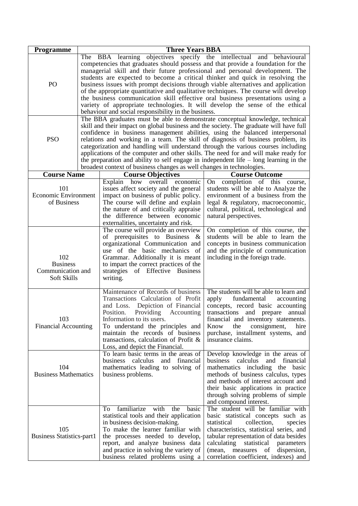| <b>Programme</b>                                           | <b>Three Years BBA</b>                                                                                                                                                                                                                                                                                                                                                                                                                                                                                                                                                                                                                                                                       |                                                                                                                                                                                                                                                                                                                                                                                                                                                                                                                                                                                                                                                 |                                                                                                                                                                                                                                                                                                                               |
|------------------------------------------------------------|----------------------------------------------------------------------------------------------------------------------------------------------------------------------------------------------------------------------------------------------------------------------------------------------------------------------------------------------------------------------------------------------------------------------------------------------------------------------------------------------------------------------------------------------------------------------------------------------------------------------------------------------------------------------------------------------|-------------------------------------------------------------------------------------------------------------------------------------------------------------------------------------------------------------------------------------------------------------------------------------------------------------------------------------------------------------------------------------------------------------------------------------------------------------------------------------------------------------------------------------------------------------------------------------------------------------------------------------------------|-------------------------------------------------------------------------------------------------------------------------------------------------------------------------------------------------------------------------------------------------------------------------------------------------------------------------------|
| PO                                                         |                                                                                                                                                                                                                                                                                                                                                                                                                                                                                                                                                                                                                                                                                              | The BBA learning objectives specify the intellectual and behavioural<br>competencies that graduates should possess and that provide a foundation for the<br>managerial skill and their future professional and personal development. The<br>students are expected to become a critical thinker and quick in resolving the<br>business issues with prompt decisions through viable alternatives and application<br>of the appropriate quantitative and qualitative techniques. The course will develop<br>the business communication skill effective oral business presentations using a<br>behaviour and social responsibility in the business. | variety of appropriate technologies. It will develop the sense of the ethical                                                                                                                                                                                                                                                 |
| <b>PSO</b>                                                 | The BBA graduates must be able to demonstrate conceptual knowledge, technical<br>skill and their impact on global business and the society. The graduate will have full<br>confidence in business management abilities, using the balanced interpersonal<br>relations and working in a team. The skill of diagnosis of business problem, its<br>categorization and handling will understand through the various courses including<br>applications of the computer and other skills. The need for and will make ready for<br>the preparation and ability to self engage in independent life $-$ long learning in the<br>broadest context of business changes as well changes in technologies. |                                                                                                                                                                                                                                                                                                                                                                                                                                                                                                                                                                                                                                                 |                                                                                                                                                                                                                                                                                                                               |
| <b>Course Name</b>                                         |                                                                                                                                                                                                                                                                                                                                                                                                                                                                                                                                                                                                                                                                                              | <b>Course Objectives</b>                                                                                                                                                                                                                                                                                                                                                                                                                                                                                                                                                                                                                        | <b>Course Outcome</b>                                                                                                                                                                                                                                                                                                         |
| 101<br><b>Economic Environment</b><br>of Business          |                                                                                                                                                                                                                                                                                                                                                                                                                                                                                                                                                                                                                                                                                              | Explain how overall economic<br>issues affect society and the general<br>impact on business of public policy.<br>The course will define and explain<br>the nature of and critically appraise<br>the difference between economic<br>externalities, uncertainty and risk.                                                                                                                                                                                                                                                                                                                                                                         | On completion of this course,<br>students will be able to Analyze the<br>environment of a business from the<br>legal & regulatory, macroeconomic,<br>cultural, political, technological and<br>natural perspectives.                                                                                                          |
| 102<br><b>Business</b><br>Communication and<br>Soft Skills |                                                                                                                                                                                                                                                                                                                                                                                                                                                                                                                                                                                                                                                                                              | The course will provide an overview<br>of prerequisites to Business<br>&<br>organizational Communication and<br>use of the basic mechanics of<br>Grammar. Additionally it is meant<br>to impart the correct practices of the<br>strategies of Effective Business<br>writing.                                                                                                                                                                                                                                                                                                                                                                    | On completion of this course, the<br>students will be able to learn the<br>concepts in business communication<br>and the principle of communication<br>including in the foreign trade.                                                                                                                                        |
| 103<br><b>Financial Accounting</b>                         |                                                                                                                                                                                                                                                                                                                                                                                                                                                                                                                                                                                                                                                                                              | Maintenance of Records of business<br>Transactions Calculation of Profit<br>and Loss.<br>Depiction of Financial<br>Position.<br>Providing Accounting<br>Information to its users.<br>To understand the principles and<br>maintain the records of business<br>transactions, calculation of Profit $\&$<br>Loss, and depict the Financial.                                                                                                                                                                                                                                                                                                        | The students will be able to learn and<br>fundamental<br>apply<br>accounting<br>concepts, record basic accounting<br>transactions and prepare<br>annual<br>financial and inventory statements.<br>Know<br>the<br>hire<br>consignment,<br>purchase, installment systems, and<br>insurance claims.                              |
| 104<br><b>Business Mathematics</b>                         |                                                                                                                                                                                                                                                                                                                                                                                                                                                                                                                                                                                                                                                                                              | To learn basic terms in the areas of<br>business calculus<br>and financial<br>mathematics leading to solving of<br>business problems.                                                                                                                                                                                                                                                                                                                                                                                                                                                                                                           | Develop knowledge in the areas of<br>business calculus and<br>financial<br>mathematics including the basic<br>methods of business calculus, types<br>and methods of interest account and<br>their basic applications in practice<br>through solving problems of simple<br>and compound interest.                              |
| 105<br><b>Business Statistics-part1</b>                    |                                                                                                                                                                                                                                                                                                                                                                                                                                                                                                                                                                                                                                                                                              | To familiarize with the<br>basic<br>statistical tools and their application<br>in business decision-making.<br>To make the learner familiar with<br>the processes needed to develop,<br>report, and analyze business data<br>and practice in solving the variety of<br>business related problems using a                                                                                                                                                                                                                                                                                                                                        | The student will be familiar with<br>basic statistical concepts such as<br>statistical<br>collection,<br>species<br>characteristics, statistical series, and<br>tabular representation of data besides<br>calculating<br>statistical<br>parameters<br>(mean, measures of dispersion,<br>correlation coefficient, indexes) and |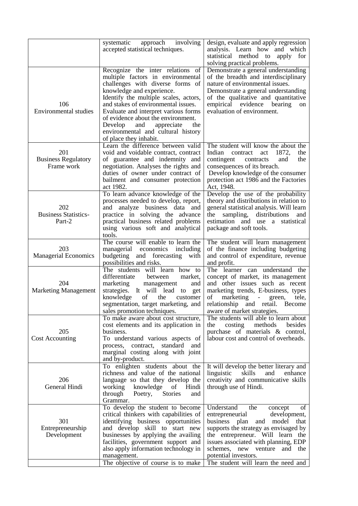|                                                 | systematic<br>approach<br>involving<br>accepted statistical techniques.                                                                                                                                                                                                                                                                                                                                        | design, evaluate and apply regression<br>analysis. Learn how and which<br>statistical method to apply for<br>solving practical problems.                                                                                                                                           |
|-------------------------------------------------|----------------------------------------------------------------------------------------------------------------------------------------------------------------------------------------------------------------------------------------------------------------------------------------------------------------------------------------------------------------------------------------------------------------|------------------------------------------------------------------------------------------------------------------------------------------------------------------------------------------------------------------------------------------------------------------------------------|
| 106<br><b>Environmental studies</b>             | Recognize the inter relations<br>of<br>multiple factors in environmental<br>challenges with diverse forms of<br>knowledge and experience.<br>Identify the multiple scales, actors,<br>and stakes of environmental issues.<br>Evaluate and interpret various forms<br>of evidence about the environment.<br>Develop<br>and<br>appreciate<br>the<br>environmental and cultural history<br>of place they inhabit. | Demonstrate a general understanding<br>of the breadth and interdisciplinary<br>nature of environmental issues.<br>Demonstrate a general understanding<br>of the qualitative and quantitative<br>empirical evidence bearing<br>on<br>evaluation of environment.                     |
| 201<br><b>Business Regulatory</b><br>Frame work | Learn the difference between valid<br>void and voidable contract, contract<br>of guarantee and indemnity and<br>negotiation. Analyses the rights and<br>duties of owner under contract of<br>bailment and consumer protection<br>act 1982.                                                                                                                                                                     | The student will know the about the<br>Indian<br>1872,<br>contract<br>the<br>act<br>contingent<br>contracts<br>the<br>and<br>consequences of its breach.<br>Develop knowledge of the consumer<br>protection act 1986 and the Factories<br>Act, 1948.                               |
| 202<br><b>Business Statistics-</b><br>Part-2    | To learn advance knowledge of the<br>processes needed to develop, report,<br>and analyze business data and<br>practice in solving the advance<br>practical business related problems<br>using various soft and analytical<br>tools.                                                                                                                                                                            | Develop the use of the probability<br>theory and distributions in relation to<br>general statistical analysis. Will learn<br>distributions<br>the<br>sampling,<br>and<br>estimation and use a statistical<br>package and soft tools.                                               |
| 203<br><b>Managerial Economics</b>              | The course will enable to learn the<br>managerial economics including<br>budgeting and forecasting<br>with<br>possibilities and risks.                                                                                                                                                                                                                                                                         | The student will learn management<br>of the finance including budgeting<br>and control of expenditure, revenue<br>and profit.                                                                                                                                                      |
| 204<br><b>Marketing Management</b>              | The students will learn how to<br>differentiate<br>between<br>market,<br>marketing<br>management<br>and<br>strategies. It will lead<br>to<br>get<br>knowledge<br>of<br>the<br>customer<br>segmentation, target marketing, and<br>sales promotion techniques.                                                                                                                                                   | The learner can understand the<br>concept of market, its management<br>and other issues such as recent<br>marketing trends, E-business, types<br>marketing<br>of<br>tele,<br>$\sigma_{\rm{max}}$<br>green,<br>relationship and retail. Become<br>aware of market strategies.       |
| 205<br><b>Cost Accounting</b>                   | To make aware about cost structure,<br>cost elements and its application in<br>business.<br>To understand various aspects of<br>process, contract, standard and<br>marginal costing along with joint<br>and by-product.                                                                                                                                                                                        | The students will able to learn about<br>costing<br>methods<br>besides<br>the<br>purchase of materials & control,<br>labour cost and control of overheads.                                                                                                                         |
| 206<br>General Hindi                            | To enlighten students about the<br>richness and value of the national<br>language so that they develop the<br>working<br>knowledge<br>Hindi<br>of<br>through<br>Poetry, Stories<br>and<br>Grammar.                                                                                                                                                                                                             | It will develop the better literary and<br>linguistic<br>skills<br>and<br>enhance<br>creativity and communicative skills<br>through use of Hindi.                                                                                                                                  |
| 301<br>Entrepreneurship<br>Development          | To develop the student to become<br>critical thinkers with capabilities of<br>identifying business opportunities<br>and develop skill to start new<br>businesses by applying the availing<br>facilities, government support and<br>also apply information technology in<br>management.                                                                                                                         | Understand the<br>of<br>concept<br>entrepreneurial<br>development,<br>business plan and model that<br>supports the strategy as envisaged by<br>the entrepreneur. Will learn the<br>issues associated with planning, EDP<br>schemes, new venture<br>and the<br>potential investors. |
|                                                 | The objective of course is to make                                                                                                                                                                                                                                                                                                                                                                             | The student will learn the need and                                                                                                                                                                                                                                                |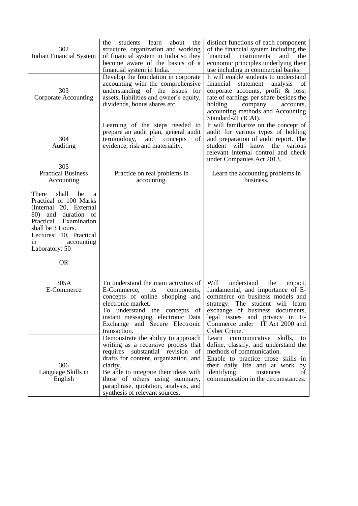| 302<br><b>Indian Financial System</b>                                                                                                                                                                                                  | the<br>students<br>learn<br>about<br>the<br>structure, organization and working<br>of financial system in India so they<br>become aware of the basics of a<br>financial system in India.                                                                                                                                    | distinct functions of each component<br>of the financial system including the<br>financial<br>instruments<br>and<br>the<br>economic principles underlying their<br>use including in commercial banks.                                                                       |
|----------------------------------------------------------------------------------------------------------------------------------------------------------------------------------------------------------------------------------------|-----------------------------------------------------------------------------------------------------------------------------------------------------------------------------------------------------------------------------------------------------------------------------------------------------------------------------|-----------------------------------------------------------------------------------------------------------------------------------------------------------------------------------------------------------------------------------------------------------------------------|
| 303<br><b>Corporate Accounting</b>                                                                                                                                                                                                     | Develop the foundation in corporate<br>accounting with the comprehensive<br>understanding of the issues for<br>assets, liabilities and owner's equity,<br>dividends, bonus shares etc.                                                                                                                                      | It will enable students to understand<br>financial<br>analysis<br>statement<br><sub>of</sub><br>corporate accounts, profit & loss,<br>rate of earnings per share besides the<br>holding<br>company<br>accounts,<br>accounting methods and Accounting<br>Standard-21 (ICAI). |
| 304<br>Auditing                                                                                                                                                                                                                        | Learning of the steps needed to<br>prepare an audit plan, general audit<br>terminology,<br>and<br>concepts<br>of<br>evidence, risk and materiality.                                                                                                                                                                         | It will familiarize on the concept of<br>audit for various types of holding<br>and preparation of audit report. The<br>various<br>student<br>will<br>know<br>the<br>relevant internal control and check<br>under Companies Act 2013.                                        |
| $\overline{305}$<br><b>Practical Business</b><br>Accounting                                                                                                                                                                            | Practice on real problems in<br>accounting.                                                                                                                                                                                                                                                                                 | Learn the accounting problems in<br>business.                                                                                                                                                                                                                               |
| shall<br>be<br>There<br>a<br>Practical of 100 Marks<br>(Internal 20, External<br>80) and<br>duration of<br>Practical<br>Examination<br>shall be 3 Hours.<br>Lectures: 10, Practical<br>in<br>accounting<br>Laboratory: 50<br><b>OR</b> |                                                                                                                                                                                                                                                                                                                             |                                                                                                                                                                                                                                                                             |
| 305A<br>E-Commerce                                                                                                                                                                                                                     | To understand the main activities of<br>E-Commerce,<br>its<br>components,<br>concepts of online shopping and<br>electronic market.<br>To understand the concepts of<br>instant messaging, electronic Data<br>Exchange and Secure Electronic<br>transaction.                                                                 | Will<br>understand<br>the<br>impact,<br>fundamental, and importance of E-<br>commerce on business models and<br>strategy. The student will learn<br>exchange of business documents,<br>legal issues and privacy in E-<br>Commerce under IT Act 2000 and<br>Cyber Crime.     |
| 306<br>Language Skills in<br>English                                                                                                                                                                                                   | Demonstrate the ability to approach<br>writing as a recursive process that<br>requires substantial revision<br>of<br>drafts for content, organization, and<br>clarity.<br>Be able to integrate their ideas with<br>those of others using summary,<br>paraphrase, quotation, analysis, and<br>synthesis of relevant sources. | communicative<br>skills,<br>Learn<br>to<br>define, classify, and understand the<br>methods of communication.<br>Enable to practice those skills in<br>their daily life and at work by<br>identifying<br>instances<br>of<br>communication in the circumstances.              |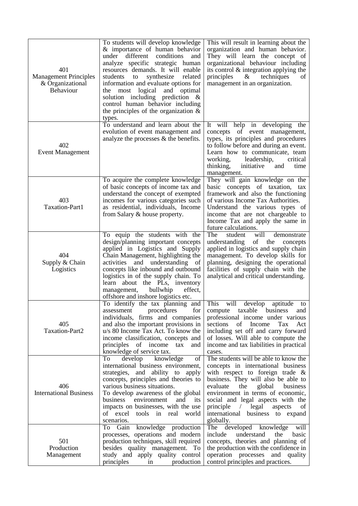| 401<br><b>Management Principles</b><br>& Organizational<br>Behaviour | To students will develop knowledge<br>& importance of human behavior<br>under different<br>conditions<br>and<br>analyze specific strategic human<br>resources demands. It will enable<br>related<br>students to<br>synthesize<br>information and evaluate options for<br>the most logical and optimal<br>solution including prediction &<br>control human behavior including<br>the principles of the organization $\&$<br>types. | This will result in learning about the<br>organization and human behavior.<br>They will learn the concept of<br>organizational behaviour including<br>its control $\&$ integration applying the<br>$\&$<br>techniques<br>principles<br>of<br>management in an organization.                                                                                        |
|----------------------------------------------------------------------|-----------------------------------------------------------------------------------------------------------------------------------------------------------------------------------------------------------------------------------------------------------------------------------------------------------------------------------------------------------------------------------------------------------------------------------|--------------------------------------------------------------------------------------------------------------------------------------------------------------------------------------------------------------------------------------------------------------------------------------------------------------------------------------------------------------------|
| 402<br><b>Event Management</b>                                       | To understand and learn about the<br>evolution of event management and<br>analyze the processes $\&$ the benefits.                                                                                                                                                                                                                                                                                                                | It will help in developing the<br>of event management,<br>concepts<br>types, its principles and procedures<br>to follow before and during an event.<br>Learn how to communicate, team<br>working, leadership,<br>critical<br>initiative<br>thinking,<br>and<br>time<br>management.                                                                                 |
| 403<br>Taxation-Part1                                                | To acquire the complete knowledge<br>of basic concepts of income tax and<br>understand the concept of exempted<br>incomes for various categories such<br>as residential, individuals, Income<br>from Salary & house property.                                                                                                                                                                                                     | They will gain knowledge on the<br>basic concepts of taxation, tax<br>framework and also the functioning<br>of various Income Tax Authorities.<br>Understand the various types of<br>income that are not chargeable to<br>Income Tax and apply the same in<br>future calculations.                                                                                 |
| 404<br>Supply & Chain<br>Logistics                                   | To equip the students with the<br>design/planning important concepts<br>applied in Logistics and Supply<br>Chain Management, highlighting the<br>activities and understanding of<br>concepts like inbound and outbound<br>logistics in of the supply chain. To<br>learn<br>about the PLs, inventory<br>bullwhip<br>effect,<br>management,<br>offshore and inshore logistics etc.                                                  | The<br>will<br>student<br>demonstrate<br>of the<br>understanding<br>concepts<br>applied in logistics and supply chain<br>management. To develop skills for<br>planning, designing the operational<br>facilities of supply chain with the<br>analytical and critical understanding.                                                                                 |
| 405<br>Taxation-Part2                                                | To identify the tax planning and<br>procedures<br>for<br>assessment<br>individuals, firms and companies<br>and also the important provisions in<br>u/s 80 Income Tax Act. To know the<br>income classification, concepts and<br>principles<br>of income<br>tax<br>and<br>knowledge of service tax.                                                                                                                                | This<br>will<br>develop<br>aptitude<br>to<br>taxable business<br>compute<br>and<br>professional income under various<br>sections<br>of<br>Income<br>Tax<br>Act<br>including set off and carry forward<br>of losses. Will able to compute the<br>income and tax liabilities in practical<br>cases.                                                                  |
| 406<br><b>International Business</b>                                 | knowledge<br>develop<br>To<br>of<br>international business environment,<br>strategies, and ability to apply<br>concepts, principles and theories to<br>various business situations.<br>To develop awareness of the global<br>environment<br>and<br>business<br>its<br>impacts on businesses, with the use<br>of excel tools in real<br>world<br>scenarios.                                                                        | The students will be able to know the<br>concepts in international business<br>with respect to foreign trade $\&$<br>business. They will also be able to<br>evaluate<br>the<br>global<br>business<br>environment in terms of economic,<br>social and legal aspects with the<br>principle / legal<br>aspects<br>of<br>international business to expand<br>globally. |
| 501<br>Production<br>Management                                      | knowledge production<br>Gain<br>To<br>processes, operations and modern<br>production techniques, skill required<br>besides quality management. To<br>study and apply quality control<br>principles<br>production<br>in                                                                                                                                                                                                            | The developed knowledge<br>will<br>understand<br>include<br>the<br>basic<br>concepts, theories and planning of<br>the production with the confidence in<br>operation processes and quality<br>control principles and practices.                                                                                                                                    |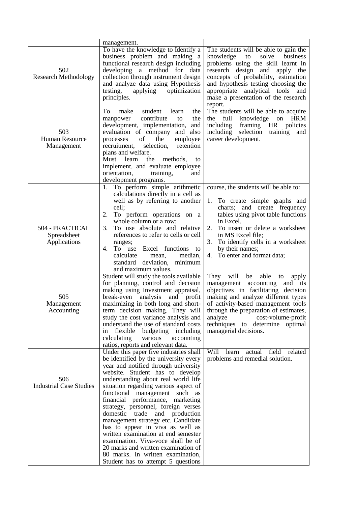|                                                | management.                                                                                                                                                                                                                                                                                                                                                                                                                                                                                                                                                                                                                                                         |                                                                                                                                                                                                                                                                                                                                     |
|------------------------------------------------|---------------------------------------------------------------------------------------------------------------------------------------------------------------------------------------------------------------------------------------------------------------------------------------------------------------------------------------------------------------------------------------------------------------------------------------------------------------------------------------------------------------------------------------------------------------------------------------------------------------------------------------------------------------------|-------------------------------------------------------------------------------------------------------------------------------------------------------------------------------------------------------------------------------------------------------------------------------------------------------------------------------------|
| 502<br><b>Research Methodology</b>             | To have the knowledge to Identify a<br>business problem and making a<br>functional research design including<br>developing a method for data<br>collection through instrument design<br>and analyze data using Hypothesis<br>testing,<br>applying<br>optimization<br>principles.                                                                                                                                                                                                                                                                                                                                                                                    | The students will be able to gain the<br>knowledge<br>to<br>solve<br>business<br>problems using the skill learnt in<br>research design and apply the<br>concepts of probability, estimation<br>and hypothesis testing choosing the<br>appropriate analytical tools and<br>make a presentation of the research<br>report.            |
| 503<br>Human Resource<br>Management            | student<br>To<br>make<br>the<br>learn<br>contribute<br>manpower<br>the<br>to<br>development, implementation, and<br>evaluation of company and also<br>of<br>employee<br>the<br>processes<br>recruitment,<br>selection,<br>retention<br>plans and welfare.<br>Must learn<br>the<br>methods,<br>to<br>implement, and evaluate employee<br>orientation,<br>training,<br>and<br>development programs.                                                                                                                                                                                                                                                                   | The students will be able to acquire<br><b>HRM</b><br>the<br>full<br>knowledge<br>on<br>including<br>framing HR<br>policies<br>selection<br>including<br>training<br>and<br>career development.                                                                                                                                     |
| 504 - PRACTICAL<br>Spreadsheet<br>Applications | To perform simple arithmetic<br>1.<br>calculations directly in a cell as<br>well as by referring to another<br>cell;<br>To perform operations on a<br>2.<br>whole column or a row;<br>To use absolute and relative<br>3.<br>references to refer to cells or cell<br>ranges;<br>To use Excel functions to<br>4.<br>calculate<br>median,<br>mean,<br>standard deviation, minimum<br>and maximum values.                                                                                                                                                                                                                                                               | course, the students will be able to:<br>To create simple graphs and<br>1.<br>charts; and create frequency<br>tables using pivot table functions<br>in Excel.<br>2.<br>To insert or delete a worksheet<br>in MS Excel file;<br>To identify cells in a worksheet<br>3.<br>by their names;<br>To enter and format data;<br>4.         |
| 505<br>Management<br>Accounting                | Student will study the tools available<br>for planning, control and decision<br>making using Investment appraisal,<br>break-even<br>analysis and profit<br>maximizing in both long and short-<br>term decision making. They will<br>study the cost variance analysis and<br>understand the use of standard costs<br>flexible<br>budgeting including<br>in<br>calculating<br>various<br>accounting<br>ratios, reports and relevant data.                                                                                                                                                                                                                             | They<br>will<br>able<br>be<br>to<br>apply<br>management accounting and its<br>objectives in facilitating decision<br>making and analyze different types<br>of activity-based management tools<br>through the preparation of estimates,<br>analyze<br>cost-volume-profit<br>techniques to determine optimal<br>managerial decisions. |
| 506<br><b>Industrial Case Studies</b>          | Under this paper five industries shall<br>be identified by the university every<br>year and notified through university<br>website. Student has to develop<br>understanding about real world life<br>situation regarding various aspect of<br>functional management such as<br>financial performance, marketing<br>strategy, personnel, foreign verses<br>domestic trade<br>and production<br>management strategy etc. Candidate<br>has to appear in viva as well as<br>written examination at end semester<br>examination. Viva-voce shall be of<br>20 marks and written examination of<br>80 marks. In written examination,<br>Student has to attempt 5 questions | Will<br>actual field<br>learn<br>related<br>problems and remedial solution.                                                                                                                                                                                                                                                         |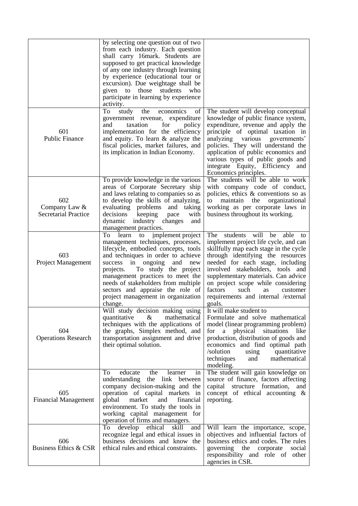|                                                     | by selecting one question out of two<br>from each industry. Each question<br>shall carry 16mark. Students are<br>supposed to get practical knowledge<br>of any one industry through learning<br>by experience (educational tour or<br>excursion). Due weightage shall be<br>given to those students<br>who<br>participate in learning by experience<br>activity.<br>To<br>study<br>the<br>economics<br>of<br>government revenue, expenditure | The student will develop conceptual<br>knowledge of public finance system,                                                                                                                                                                                                                                                                                                                                  |
|-----------------------------------------------------|----------------------------------------------------------------------------------------------------------------------------------------------------------------------------------------------------------------------------------------------------------------------------------------------------------------------------------------------------------------------------------------------------------------------------------------------|-------------------------------------------------------------------------------------------------------------------------------------------------------------------------------------------------------------------------------------------------------------------------------------------------------------------------------------------------------------------------------------------------------------|
| 601<br><b>Public Finance</b>                        | and<br>taxation<br>for<br>policy<br>implementation for the efficiency<br>and equity. To learn & analyze the<br>fiscal policies, market failures, and<br>its implication in Indian Economy.                                                                                                                                                                                                                                                   | expenditure, revenue and apply the<br>principle of optimal taxation in<br>analyzing various<br>governments'<br>policies. They will understand the<br>application of public economics and<br>various types of public goods and<br>integrate Equity, Efficiency<br>and<br>Economics principles.                                                                                                               |
| 602<br>Company Law &<br><b>Secretarial Practice</b> | To provide knowledge in the various<br>areas of Corporate Secretary ship<br>and laws relating to companies so as<br>to develop the skills of analyzing,<br>evaluating problems and<br>taking<br>decisions<br>keeping<br>with<br>pace<br>dynamic<br>industry changes<br>and<br>management practices.                                                                                                                                          | The students will be able to work<br>with company code of conduct,<br>policies, ethics & conventions so as<br>the<br>organizational<br>maintain<br>to<br>working as per corporate laws in<br>business throughout its working.                                                                                                                                                                               |
| 603<br>Project Management                           | implement project<br>To learn<br>to<br>management techniques, processes,<br>lifecycle, embodied concepts, tools<br>and techniques in order to achieve<br>success in<br>ongoing<br>and<br>new<br>To study the project<br>projects.<br>management practices to meet the<br>needs of stakeholders from multiple<br>sectors and appraise the role of<br>project management in organization<br>change.                                            | students<br>will<br>The<br>able to<br>be<br>implement project life cycle, and can<br>skillfully map each stage in the cycle<br>through identifying the resources<br>needed for each stage, including<br>involved stakeholders, tools and<br>supplementary materials. Can advice<br>on project scope while considering<br>factors<br>such<br>customer<br>as<br>requirements and internal /external<br>goals. |
| 604<br><b>Operations Research</b>                   | Will study decision making using<br>quantitative<br>&<br>mathematical<br>techniques with the applications of<br>the graphs, Simplex method, and<br>transportation assignment and drive<br>their optimal solution.                                                                                                                                                                                                                            | It will make student to<br>Formulate and solve mathematical<br>model (linear programming problem)<br>a physical situations<br>for<br>like<br>production, distribution of goods and<br>economics and find optimal path<br>/solution<br>quantitative<br>using<br>techniques<br>mathematical<br>and<br>modeling.                                                                                               |
| 605<br><b>Financial Management</b>                  | educate<br>To<br>the<br>learner<br>in<br>understanding the link between<br>company decision-making and the<br>operation of capital markets in<br>global<br>market<br>and<br>financial<br>environment. To study the tools in<br>working capital management for<br>operation of firms and managers.                                                                                                                                            | The student will gain knowledge on<br>source of finance, factors affecting<br>capital structure formation,<br>and<br>concept of ethical accounting $\&$<br>reporting.                                                                                                                                                                                                                                       |
| 606<br>Business Ethics & CSR                        | To<br>develop<br>ethical<br>skill<br>and<br>recognize legal and ethical issues in<br>business decisions and know the<br>ethical rules and ethical constraints.                                                                                                                                                                                                                                                                               | Will learn the importance, scope,<br>objectives and influential factors of<br>business ethics and codes. The rules<br>governing<br>the<br>corporate<br>social<br>responsibility and role of other<br>agencies in CSR.                                                                                                                                                                                       |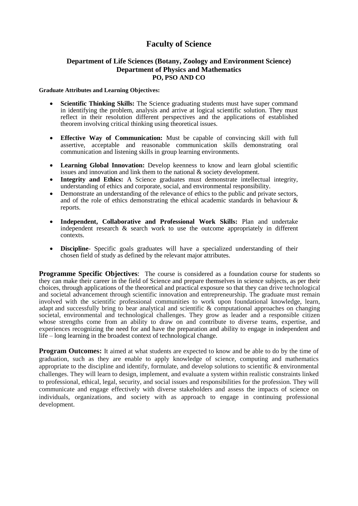### **Faculty of Science**

### **Department of Life Sciences (Botany, Zoology and Environment Science) Department of Physics and Mathematics PO, PSO AND CO**

#### **Graduate Attributes and Learning Objectives:**

- **Scientific Thinking Skills:** The Science graduating students must have super command in identifying the problem, analysis and arrive at logical scientific solution. They must reflect in their resolution different perspectives and the applications of established theorem involving critical thinking using theoretical issues.
- **Effective Way of Communication:** Must be capable of convincing skill with full assertive, acceptable and reasonable communication skills demonstrating oral communication and listening skills in group learning environments.
- **Learning Global Innovation:** Develop keenness to know and learn global scientific issues and innovation and link them to the national & society development.
- **Integrity and Ethics:** A Science graduates must demonstrate intellectual integrity, understanding of ethics and corporate, social, and environmental responsibility.
- Demonstrate an understanding of the relevance of ethics to the public and private sectors, and of the role of ethics demonstrating the ethical academic standards in behaviour  $\&$ reports.
- **Independent, Collaborative and Professional Work Skills:** Plan and undertake independent research & search work to use the outcome appropriately in different contexts.
- **Discipline** Specific goals graduates will have a specialized understanding of their chosen field of study as defined by the relevant major attributes.

**Programme Specific Objectives:** The course is considered as a foundation course for students so they can make their career in the field of Science and prepare themselves in science subjects, as per their choices, through applications of the theoretical and practical exposure so that they can drive technological and societal advancement through scientific innovation and entrepreneurship. The graduate must remain involved with the scientific professional communities to work upon foundational knowledge, learn, adapt and successfully bring to bear analytical and scientific & computational approaches on changing societal, environmental and technological challenges. They grow as leader and a responsible citizen whose strengths come from an ability to draw on and contribute to diverse teams, expertise, and experiences recognizing the need for and have the preparation and ability to engage in independent and life – long learning in the broadest context of technological change.

**Program Outcomes:** It aimed at what students are expected to know and be able to do by the time of graduation, such as they are enable to apply knowledge of science, computing and mathematics appropriate to the discipline and identify, formulate, and develop solutions to scientific & environmental challenges. They will learn to design, implement, and evaluate a system within realistic constraints linked to professional, ethical, legal, security, and social issues and responsibilities for the profession. They will communicate and engage effectively with diverse stakeholders and assess the impacts of science on individuals, organizations, and society with as approach to engage in continuing professional development.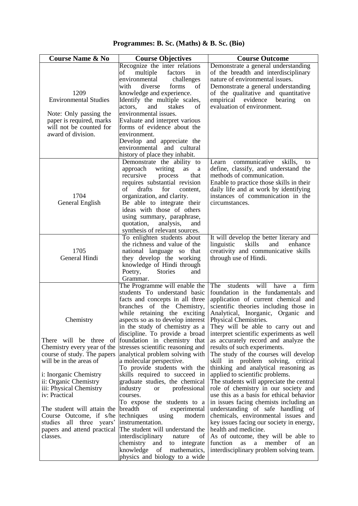## **Programmes: B. Sc. (Maths) & B. Sc. (Bio)**

| <b>Course Name &amp; No</b>                                                                                                   | <b>Course Objectives</b>                                                                                                                                                                                                                                                                                                                                     | <b>Course Outcome</b>                                                                                                                                                                                                                                                       |
|-------------------------------------------------------------------------------------------------------------------------------|--------------------------------------------------------------------------------------------------------------------------------------------------------------------------------------------------------------------------------------------------------------------------------------------------------------------------------------------------------------|-----------------------------------------------------------------------------------------------------------------------------------------------------------------------------------------------------------------------------------------------------------------------------|
| 1209                                                                                                                          | Recognize the inter relations<br>multiple<br>of<br>factors<br>in<br>environmental<br>challenges<br>forms<br>with<br>diverse<br>of<br>knowledge and experience.                                                                                                                                                                                               | Demonstrate a general understanding<br>of the breadth and interdisciplinary<br>nature of environmental issues.<br>Demonstrate a general understanding<br>of the qualitative and quantitative                                                                                |
| <b>Environmental Studies</b>                                                                                                  | Identify the multiple scales,<br>actors,<br>and<br>stakes<br>of                                                                                                                                                                                                                                                                                              | empirical evidence bearing<br>on<br>evaluation of environment.                                                                                                                                                                                                              |
| Note: Only passing the<br>paper is required, marks<br>will not be counted for                                                 | environmental issues.<br>Evaluate and interpret various<br>forms of evidence about the                                                                                                                                                                                                                                                                       |                                                                                                                                                                                                                                                                             |
| award of division.                                                                                                            | environment.<br>Develop and appreciate the<br>environmental and<br>cultural<br>history of place they inhabit.                                                                                                                                                                                                                                                |                                                                                                                                                                                                                                                                             |
| 1704<br>General English                                                                                                       | Demonstrate the ability to<br>writing<br>approach<br>as<br>a<br>recursive<br>process<br>that<br>requires substantial revision<br>of<br>drafts<br>for<br>content,<br>organization, and clarity.<br>Be able to integrate their<br>ideas with those of others<br>using summary, paraphrase,<br>quotation,<br>analysis,<br>and<br>synthesis of relevant sources. | communicative<br>skills,<br>Learn<br>to<br>define, classify, and understand the<br>methods of communication.<br>Enable to practice those skills in their<br>daily life and at work by identifying<br>instances of communication in the<br>circumstances.                    |
| 1705<br>General Hindi                                                                                                         | To enlighten students about<br>the richness and value of the<br>national language so that<br>they develop the working<br>knowledge of Hindi through<br><b>Stories</b><br>Poetry,<br>and<br>Grammar.                                                                                                                                                          | It will develop the better literary and<br>linguistic<br>skills<br>and<br>enhance<br>creativity and communicative skills<br>through use of Hindi.                                                                                                                           |
|                                                                                                                               | The Programme will enable the<br>students To understand basic<br>facts and concepts in all three<br>branches of the Chemistry,<br>while retaining the exciting                                                                                                                                                                                               | The<br>students<br>will<br>have<br>firm<br>a<br>foundation in the fundamentals and<br>application of current chemical and<br>scientific theories including those in<br>Analytical, Inorganic, Organic<br>and                                                                |
| Chemistry                                                                                                                     | aspects so as to develop interest<br>in the study of chemistry as a<br>discipline. To provide a broad                                                                                                                                                                                                                                                        | Physical Chemistries.<br>They will be able to carry out and<br>interpret scientific experiments as well                                                                                                                                                                     |
| There will be three<br>of<br>Chemistry every year of the<br>course of study. The papers<br>will be in the areas of            | foundation in chemistry that<br>stresses scientific reasoning and<br>analytical problem solving with<br>a molecular perspective.<br>To provide students with the                                                                                                                                                                                             | as accurately record and analyze the<br>results of such experiments.<br>The study of the courses will develop<br>skill in problem solving, critical<br>thinking and analytical reasoning as                                                                                 |
| i: Inorganic Chemistry<br>ii: Organic Chemistry<br>iii: Physical Chemistry<br>iv: Practical                                   | skills required to succeed in<br>graduate studies, the chemical<br>industry<br>professional<br><b>or</b><br>courses.<br>To expose the students to a                                                                                                                                                                                                          | applied to scientific problems.<br>The students will appreciate the central<br>role of chemistry in our society and<br>use this as a basis for ethical behavior<br>in issues facing chemists including an                                                                   |
| The student will attain the<br>Course Outcome, if s/he<br>studies all three years'<br>papers and attend practical<br>classes. | of<br>breadth<br>experimental<br>techniques<br>using<br>modern<br>instrumentation.<br>The student will understand the<br>interdisciplinary<br>nature<br>of<br>chemistry<br>integrate<br>and<br>to<br>mathematics,<br>knowledge<br>of                                                                                                                         | understanding of safe handling of<br>chemicals, environmental issues and<br>key issues facing our society in energy,<br>health and medicine.<br>As of outcome, they will be able to<br>a<br>of<br>function<br>as<br>member<br>an<br>interdisciplinary problem solving team. |
|                                                                                                                               | physics and biology to a wide                                                                                                                                                                                                                                                                                                                                |                                                                                                                                                                                                                                                                             |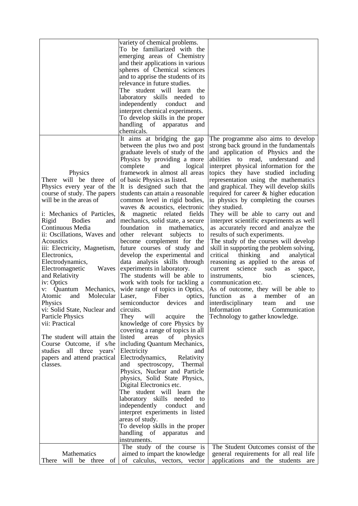|                                 | variety of chemical problems.      |                                            |
|---------------------------------|------------------------------------|--------------------------------------------|
|                                 | To be familiarized with the        |                                            |
|                                 | emerging areas of Chemistry        |                                            |
|                                 | and their applications in various  |                                            |
|                                 | spheres of Chemical sciences       |                                            |
|                                 | and to apprise the students of its |                                            |
|                                 | relevance in future studies.       |                                            |
|                                 |                                    |                                            |
|                                 | The student will learn<br>the      |                                            |
|                                 | laboratory skills needed<br>to     |                                            |
|                                 | independently conduct<br>and       |                                            |
|                                 | interpret chemical experiments.    |                                            |
|                                 | To develop skills in the proper    |                                            |
|                                 | handling of apparatus<br>and       |                                            |
|                                 | chemicals.                         |                                            |
|                                 | It aims at bridging the gap        | The programme also aims to develop         |
|                                 | between the plus two and post      | strong back ground in the fundamentals     |
|                                 | graduate levels of study of the    | and application of Physics and the         |
|                                 |                                    | abilities to read, understand<br>and       |
|                                 | Physics by providing a more        |                                            |
|                                 | complete<br>and<br>logical         | interpret physical information for the     |
| Physics                         | framework in almost all areas      | topics they have studied including         |
| will be three<br>There<br>of    | of basic Physics as listed.        | representation using the mathematics       |
| Physics every year of the       | It is designed such that the       | and graphical. They will develop skills    |
| course of study. The papers     | students can attain a reasonable   | required for career & higher education     |
| will be in the areas of         | common level in rigid bodies,      | in physics by completing the courses       |
|                                 | waves & acoustics, electronic      | they studied.                              |
| i: Mechanics of Particles,      | & magnetic related fields          | They will be able to carry out and         |
| Rigid<br><b>Bodies</b><br>and   | mechanics, solid state, a secure   | interpret scientific experiments as well   |
| Continuous Media                | foundation in<br>mathematics.      | as accurately record and analyze the       |
| ii: Oscillations, Waves and     | other relevant<br>subjects         | results of such experiments.               |
|                                 | to                                 |                                            |
| Acoustics                       | become complement for the          | The study of the courses will develop      |
| iii: Electricity, Magnetism,    | future courses of study and        | skill in supporting the problem solving,   |
| Electronics,                    | develop the experimental and       | critical<br>thinking<br>and<br>analytical  |
| Electrodynamics,                | data analysis skills through       | reasoning as applied to the areas of       |
| Electromagnetic<br>Waves        | experiments in laboratory.         | current<br>science<br>such<br>as<br>space, |
| and Relativity                  | The students will be able to       | sciences,<br>instruments,<br>bio           |
| iv: Optics                      | work with tools for tackling a     | communication etc.                         |
| Quantum<br>Mechanics,<br>V:     | wide range of topics in Optics,    | As of outcome, they will be able to        |
| Molecular<br>Atomic<br>and      | Fiber<br>Laser,<br>optics,         | function<br>member<br>οf<br>as<br>a<br>an  |
| Physics                         | semiconductor<br>devices<br>and    | interdisciplinary<br>and<br>team<br>use    |
| vi: Solid State, Nuclear and    | circuits.                          | Communication<br>Information               |
| <b>Particle Physics</b>         | They<br>will<br>acquire<br>the     | Technology to gather knowledge.            |
| vii: Practical                  | knowledge of core Physics by       |                                            |
|                                 |                                    |                                            |
|                                 | covering a range of topics in all  |                                            |
| The student will attain the     | listed<br>areas<br>of<br>physics   |                                            |
| Course Outcome, if s/he         | including Quantum Mechanics,       |                                            |
| studies all three years'        | Electricity<br>and                 |                                            |
| papers and attend practical     | Electrodynamics,<br>Relativity     |                                            |
| classes.                        | Thermal<br>spectroscopy,<br>and    |                                            |
|                                 | Physics, Nuclear and Particle      |                                            |
|                                 | physics, Solid State Physics,      |                                            |
|                                 | Digital Electronics etc.           |                                            |
|                                 | The student will learn the         |                                            |
|                                 | laboratory skills needed to        |                                            |
|                                 |                                    |                                            |
|                                 | independently conduct<br>and       |                                            |
|                                 | interpret experiments in listed    |                                            |
|                                 | areas of study.                    |                                            |
|                                 | To develop skills in the proper    |                                            |
|                                 | handling of<br>apparatus<br>and    |                                            |
|                                 | instruments.                       |                                            |
|                                 | The study of the course is         | The Student Outcomes consist of the        |
| Mathematics                     | aimed to impart the knowledge      | general requirements for all real life     |
| will<br>of<br>There<br>be three | of calculus, vectors, vector       | applications and the students<br>are       |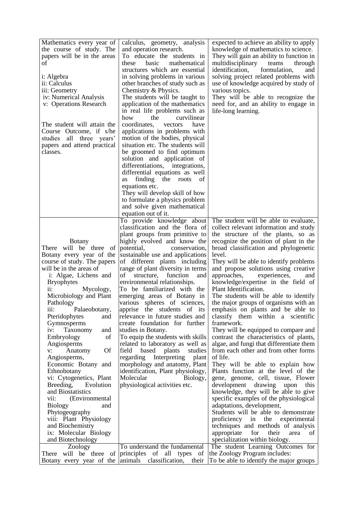| Mathematics every year of<br>the course of study. The<br>papers will be in the areas<br>οf<br>i: Algebra<br>ii: Calculus<br>iii: Geometry                                         | calculus, geometry, analysis<br>and operation research.<br>To educate the students in<br>basic<br>these<br>mathematical<br>structures which are essential<br>in solving problems in various<br>other branches of study such as<br>Chemistry & Physics.                                                 | expected to achieve an ability to apply<br>knowledge of mathematics to science.<br>They will gain an ability to function in<br>multidisciplinary<br>teams<br>through<br>identification,<br>formulation,<br>and<br>solving project related problems with<br>use of knowledge acquired by study of<br>various topics. |
|-----------------------------------------------------------------------------------------------------------------------------------------------------------------------------------|--------------------------------------------------------------------------------------------------------------------------------------------------------------------------------------------------------------------------------------------------------------------------------------------------------|---------------------------------------------------------------------------------------------------------------------------------------------------------------------------------------------------------------------------------------------------------------------------------------------------------------------|
| iv: Numerical Analysis<br>v: Operations Research<br>The student will attain the<br>Course Outcome, if s/he<br>studies all three years'<br>papers and attend practical<br>classes. | The students will be taught to<br>application of the mathematics<br>in real life problems such as<br>how<br>the<br>curvilinear<br>coordinates,<br>have<br>vectors<br>applications in problems with<br>motion of the bodies, physical<br>situation etc. The students will<br>be groomed to find optimum | They will be able to recognize the<br>need for, and an ability to engage in<br>life-long learning.                                                                                                                                                                                                                  |
|                                                                                                                                                                                   | solution and application of<br>differentiations, integrations,<br>differential equations as well<br>finding<br>the<br>roots<br>of<br>as<br>equations etc.<br>They will develop skill of how<br>to formulate a physics problem<br>and solve given mathematical<br>equation out of it.                   |                                                                                                                                                                                                                                                                                                                     |
|                                                                                                                                                                                   | To provide knowledge about<br>classification and the flora of<br>plant groups from primitive to                                                                                                                                                                                                        | The student will be able to evaluate,<br>collect relevant information and study<br>the structure of the plants, so as                                                                                                                                                                                               |
| <b>Botany</b>                                                                                                                                                                     | highly evolved and know the                                                                                                                                                                                                                                                                            | recognize the position of plant in the                                                                                                                                                                                                                                                                              |
| There will be three<br>of                                                                                                                                                         | potential,<br>conservation,                                                                                                                                                                                                                                                                            | broad classification and phylogenetic                                                                                                                                                                                                                                                                               |
| Botany every year of the<br>course of study. The papers                                                                                                                           | sustainable use and applications<br>of different plants including                                                                                                                                                                                                                                      | level.<br>They will be able to identify problems                                                                                                                                                                                                                                                                    |
| will be in the areas of                                                                                                                                                           | range of plant diversity in terms                                                                                                                                                                                                                                                                      | and propose solutions using creative                                                                                                                                                                                                                                                                                |
| i: Algae, Lichens and                                                                                                                                                             | of<br>structure,<br>function<br>and                                                                                                                                                                                                                                                                    | approaches,<br>experiences,<br>and                                                                                                                                                                                                                                                                                  |
| <b>Bryophytes</b>                                                                                                                                                                 | environmental relationships.                                                                                                                                                                                                                                                                           | knowledge/expertise in the field of                                                                                                                                                                                                                                                                                 |
| $ii$ :<br>Mycology,                                                                                                                                                               | To be familiarized with the                                                                                                                                                                                                                                                                            | Plant Identification.                                                                                                                                                                                                                                                                                               |
| Microbiology and Plant                                                                                                                                                            | emerging areas of Botany in                                                                                                                                                                                                                                                                            | The students will be able to identify                                                                                                                                                                                                                                                                               |
| Pathology                                                                                                                                                                         | various spheres of sciences,                                                                                                                                                                                                                                                                           | the major groups of organisms with an                                                                                                                                                                                                                                                                               |
| Palaeobotany,<br>$111$ :                                                                                                                                                          | apprise the students of its                                                                                                                                                                                                                                                                            | emphasis on plants and be able to                                                                                                                                                                                                                                                                                   |
| Pteridophytes<br>and                                                                                                                                                              | relevance in future studies and                                                                                                                                                                                                                                                                        | classify them within a scientific                                                                                                                                                                                                                                                                                   |
| Gymnosperms<br>Taxonomy                                                                                                                                                           | create foundation for further<br>studies in Botany.                                                                                                                                                                                                                                                    | framework.<br>They will be equipped to compare and                                                                                                                                                                                                                                                                  |
| iv:<br>and<br>Embryology<br>of                                                                                                                                                    | To equip the students with skills                                                                                                                                                                                                                                                                      | contrast the characteristics of plants,                                                                                                                                                                                                                                                                             |
| Angiosperms                                                                                                                                                                       | related to laboratory as well as                                                                                                                                                                                                                                                                       | algae, and fungi that differentiate them                                                                                                                                                                                                                                                                            |
| <b>Of</b><br>v:<br>Anatomy                                                                                                                                                        | field<br>based<br>plants<br>studies                                                                                                                                                                                                                                                                    | from each other and from other forms                                                                                                                                                                                                                                                                                |
| Angiosperms,                                                                                                                                                                      | regarding Interpreting<br>plant                                                                                                                                                                                                                                                                        | of life.                                                                                                                                                                                                                                                                                                            |
| Economic Botany and                                                                                                                                                               | morphology and anatomy, Plant                                                                                                                                                                                                                                                                          | They will be able to explain how                                                                                                                                                                                                                                                                                    |
| Ethnobotany<br>vi: Cytogenetics, Plant                                                                                                                                            | identification, Plant physiology,<br>Molecular                                                                                                                                                                                                                                                         | Plants function at the level of the<br>gene, genome, cell, tissue, Flower                                                                                                                                                                                                                                           |
| Breeding,<br>Evolution                                                                                                                                                            | Biology,<br>physiological activities etc.                                                                                                                                                                                                                                                              | development<br>drawing<br>upon<br>this                                                                                                                                                                                                                                                                              |
| and Biostatistics                                                                                                                                                                 |                                                                                                                                                                                                                                                                                                        | knowledge, they will be able to give                                                                                                                                                                                                                                                                                |
| vii:<br>(Environmental)                                                                                                                                                           |                                                                                                                                                                                                                                                                                                        | specific examples of the physiological                                                                                                                                                                                                                                                                              |
| <b>Biology</b><br>and                                                                                                                                                             |                                                                                                                                                                                                                                                                                                        | adaptations, development,                                                                                                                                                                                                                                                                                           |
| Phytogeography                                                                                                                                                                    |                                                                                                                                                                                                                                                                                                        | Students will be able to demonstrate                                                                                                                                                                                                                                                                                |
| viii: Plant Physiology                                                                                                                                                            |                                                                                                                                                                                                                                                                                                        | proficiency in the experimental                                                                                                                                                                                                                                                                                     |
| and Biochemistry                                                                                                                                                                  |                                                                                                                                                                                                                                                                                                        | techniques and methods of analysis<br>appropriate<br>for<br>their                                                                                                                                                                                                                                                   |
| ix: Molecular Biology<br>and Biotechnology                                                                                                                                        |                                                                                                                                                                                                                                                                                                        | area<br>οf<br>specialization within biology.                                                                                                                                                                                                                                                                        |
| Zoology                                                                                                                                                                           | To understand the fundamental                                                                                                                                                                                                                                                                          | The student Learning Outcomes for                                                                                                                                                                                                                                                                                   |
| There will be three<br>of                                                                                                                                                         | principles of all types<br>of                                                                                                                                                                                                                                                                          | the Zoology Program includes:                                                                                                                                                                                                                                                                                       |
| Botany every year of the                                                                                                                                                          | animals classification,<br>their                                                                                                                                                                                                                                                                       | To be able to identify the major groups                                                                                                                                                                                                                                                                             |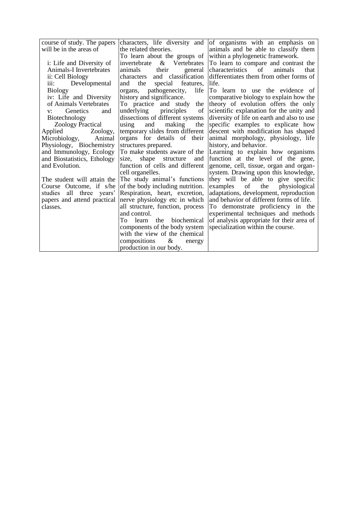course of study. The papers will be in the areas of

i: Life and Diversity of Animals-I Invertebrates ii: Cell Biology iii: Developmental Biology iv: Life and Diversity of Animals Vertebrates v: Genetics and Biotechnology Zoology Practical

Applied Zoology, Microbiology, Animal Physiology, Biochemistry and Immunology, Ecology and Biostatistics, Ethology and Evolution.

The student will attain the Course Outcome, if s/he studies all three years' papers and attend practical classes. all structure, function, process

characters, life diversity and the related theories. To learn about the groups of<br>invertebrate & Vertebrates invertebrate  $\&$ animals their general characters and classification<br>and the special features, and the special features, organs, pathogenecity, life history and significance. To practice and study the underlying principles of dissections of different systems using and making the temporary slides from different organs for details of their structures prepared. To make students aware of the<br>size, shape structure and shape structure and function of cells and different cell organelles. The study animal's functions of the body including nutrition. Respiration, heart, excretion, nerve physiology etc in which

and control. To learn the biochemical components of the body system with the view of the chemical compositions & energy production in our body.

of organisms with an emphasis on animals and be able to classify them within a phylogenetic framework.

To learn to compare and contrast the<br>characteristics of animals that characteristics of animals that differentiates them from other forms of life.

To learn to use the evidence of comparative biology to explain how the theory of evolution offers the only scientific explanation for the unity and diversity of life on earth and also to use specific examples to explicate how descent with modification has shaped animal morphology, physiology, life history, and behavior.

Learning to explain how organisms function at the level of the gene, genome, cell, tissue, organ and organsystem. Drawing upon this knowledge, they will be able to give specific<br>examples of the physiological examples of the physiological adaptations, development, reproduction and behavior of different forms of life. To demonstrate proficiency in the experimental techniques and methods of analysis appropriate for their area of specialization within the course.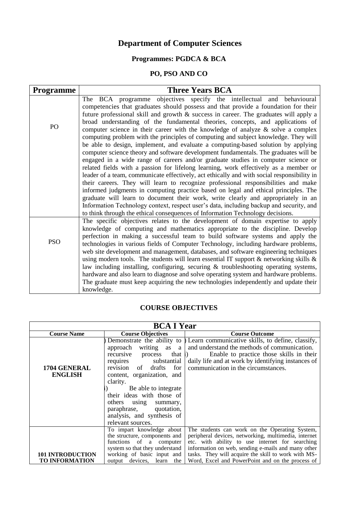# **Department of Computer Sciences**

# **Programmes: PGDCA & BCA**

## **PO, PSO AND CO**

| <b>Programme</b> | <b>Three Years BCA</b>                                                                                                                                                   |
|------------------|--------------------------------------------------------------------------------------------------------------------------------------------------------------------------|
|                  | The BCA programme objectives specify the intellectual and behavioural                                                                                                    |
|                  | competencies that graduates should possess and that provide a foundation for their                                                                                       |
|                  | future professional skill and growth & success in career. The graduates will apply a                                                                                     |
| PO               | broad understanding of the fundamental theories, concepts, and applications of                                                                                           |
|                  | computer science in their career with the knowledge of analyze $\&$ solve a complex                                                                                      |
|                  | computing problem with the principles of computing and subject knowledge. They will<br>be able to design, implement, and evaluate a computing-based solution by applying |
|                  | computer science theory and software development fundamentals. The graduates will be                                                                                     |
|                  | engaged in a wide range of careers and/or graduate studies in computer science or                                                                                        |
|                  | related fields with a passion for lifelong learning, work effectively as a member or                                                                                     |
|                  | leader of a team, communicate effectively, act ethically and with social responsibility in                                                                               |
|                  | their careers. They will learn to recognize professional responsibilities and make                                                                                       |
|                  | informed judgments in computing practice based on legal and ethical principles. The                                                                                      |
|                  | graduate will learn to document their work, write clearly and appropriately in an                                                                                        |
|                  | Information Technology context, respect user's data, including backup and security, and                                                                                  |
|                  | to think through the ethical consequences of Information Technology decisions.                                                                                           |
|                  | The specific objectives relates to the development of domain expertise to apply                                                                                          |
|                  | knowledge of computing and mathematics appropriate to the discipline. Develop                                                                                            |
|                  | perfection in making a successful team to build software systems and apply the                                                                                           |
| <b>PSO</b>       | technologies in various fields of Computer Technology, including hardware problems,                                                                                      |
|                  | web site development and management, databases, and software engineering techniques                                                                                      |
|                  | using modern tools. The students will learn essential IT support $\&$ networking skills $\&$                                                                             |
|                  | law including installing, configuring, securing & troubleshooting operating systems,                                                                                     |
|                  | hardware and also learn to diagnose and solve operating system and hardware problems.                                                                                    |
|                  | The graduate must keep acquiring the new technologies independently and update their                                                                                     |
|                  | knowledge.                                                                                                                                                               |

## **COURSE OBJECTIVES**

| <b>BCA I Year</b>                                |                                                                                                                                                                                                                                                                                                                                            |                                                                                                                                                                                                                                                                                                                            |
|--------------------------------------------------|--------------------------------------------------------------------------------------------------------------------------------------------------------------------------------------------------------------------------------------------------------------------------------------------------------------------------------------------|----------------------------------------------------------------------------------------------------------------------------------------------------------------------------------------------------------------------------------------------------------------------------------------------------------------------------|
| <b>Course Name</b>                               | <b>Course Objectives</b>                                                                                                                                                                                                                                                                                                                   | <b>Course Outcome</b>                                                                                                                                                                                                                                                                                                      |
| 1704 GENERAL<br><b>ENGLISH</b>                   | approach<br>writing as<br>a<br>that $(i)$<br>recursive<br>process<br>substantial<br>requires<br>revision<br>of drafts<br>for<br>content, organization, and<br>clarity.<br>Be able to integrate<br>their ideas with those of<br>others<br>using<br>summary,<br>paraphrase,<br>quotation,<br>analysis, and synthesis of<br>relevant sources. | Demonstrate the ability to $\bigcup$ Learn communicative skills, to define, classify,<br>and understand the methods of communication.<br>Enable to practice those skills in their<br>daily life and at work by identifying instances of<br>communication in the circumstances.                                             |
| <b>101 INTRODUCTION</b><br><b>TO INFORMATION</b> | To impart knowledge about<br>the structure, components and<br>functions of a computer<br>system so that they understand<br>working of basic input and<br>output devices, learn the                                                                                                                                                         | The students can work on the Operating System,<br>peripheral devices, networking, multimedia, internet<br>etc. with ability to use internet for searching<br>information on web, sending e-mails and many other<br>tasks. They will acquire the skill to work with MS-<br>Word, Excel and PowerPoint and on the process of |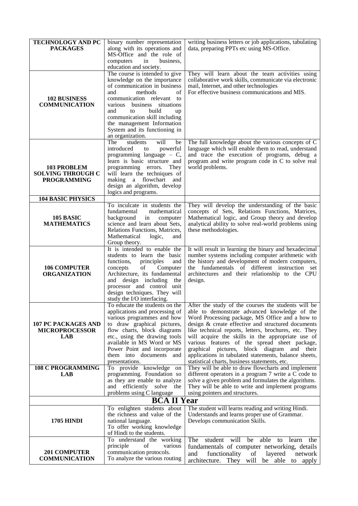| <b>TECHNOLOGY AND PC</b><br><b>PACKAGES</b>                          | binary number representation<br>along with its operations and<br>MS-Office and the role of                                                                                                                                                                                                                                        | writing business letters or job applications, tabulating<br>data, preparing PPTs etc using MS-Office.                                                                                                                                                                                                                                                                                                                                                                                                                                 |
|----------------------------------------------------------------------|-----------------------------------------------------------------------------------------------------------------------------------------------------------------------------------------------------------------------------------------------------------------------------------------------------------------------------------|---------------------------------------------------------------------------------------------------------------------------------------------------------------------------------------------------------------------------------------------------------------------------------------------------------------------------------------------------------------------------------------------------------------------------------------------------------------------------------------------------------------------------------------|
|                                                                      | business,<br>computers<br>in<br>education and society.                                                                                                                                                                                                                                                                            |                                                                                                                                                                                                                                                                                                                                                                                                                                                                                                                                       |
| <b>102 BUSINESS</b><br><b>COMMUNICATION</b>                          | The course is intended to give<br>knowledge on the importance<br>of communication in business<br>of<br>and<br>methods<br>communication relevant to<br>various business situations<br>build<br>and<br>to<br>up<br>communication skill including<br>the management Information<br>System and its functioning in<br>an organization. | They will learn about the team activities using<br>collaborative work skills, communicate via electronic<br>mail, Internet, and other technologies<br>For effective business communications and MIS.                                                                                                                                                                                                                                                                                                                                  |
| <b>103 PROBLEM</b><br><b>SOLVING THROUGH C</b><br><b>PROGRAMMING</b> | The<br>students<br>will<br>be<br>introduced<br>powerful<br>to<br>programming language $-$ C,<br>learn is basic structure and<br>programming errors.<br>They<br>will learn the techniques of<br>making a flowchart and<br>design an algorithm, develop<br>logics and programs.                                                     | The full knowledge about the various concepts of C<br>language which will enable them to read, understand<br>and trace the execution of programs, debug a<br>program and write program code in C to solve real<br>world problems.                                                                                                                                                                                                                                                                                                     |
| <b>104 BASIC PHYSICS</b>                                             |                                                                                                                                                                                                                                                                                                                                   |                                                                                                                                                                                                                                                                                                                                                                                                                                                                                                                                       |
| 105 BASIC<br><b>MATHEMATICS</b>                                      | To inculcate in students the<br>fundamental<br>mathematical<br>background<br>in<br>computer<br>science and learn about Sets,<br>Relations Functions, Matrices,<br>Mathematical<br>logic,<br>and<br>Group theory.                                                                                                                  | They will develop the understanding of the basic<br>concepts of Sets, Relations Functions, Matrices,<br>Mathematical logic, and Group theory and develop<br>analytical ability to solve real-world problems using<br>these methodologies.                                                                                                                                                                                                                                                                                             |
| <b>106 COMPUTER</b><br><b>ORGANIZATION</b>                           | It is intended to enable the<br>students to learn the basic<br>functions,<br>principles<br>and<br>concepts<br>of<br>Computer<br>Architecture, its fundamental<br>and design including the<br>processor and control unit<br>design techniques. They will<br>study the I/O interfacing.                                             | It will result in learning the binary and hexadecimal<br>number systems including computer arithmetic with<br>the history and development of modern computers,<br>the fundamentals of different instruction set<br>architectures and their relationship to the CPU<br>design.                                                                                                                                                                                                                                                         |
| <b>107 PC PACKAGES AND</b><br><b>MICROPROCESSOR</b><br><b>LAB</b>    | To educate the students on the<br>applications and processing of<br>various programmes and how<br>to draw graphical pictures,<br>flow charts, block diagrams<br>etc., using the drawing tools<br>available in MS Word or MS<br>Power Point and incorporate<br>them into documents and<br>presentations.                           | After the study of the courses the students will be<br>able to demonstrate advanced knowledge of the<br>Word Processing package, MS Office and a how to<br>design & create effective and structured documents<br>like technical reports, letters, brochures, etc. They<br>will acquire the skills in the appropriate use of<br>various features of the spread sheet package,<br>graphical pictures, block diagram and their<br>applications in tabulated statements, balance sheets,<br>statistical charts, business statements, etc. |
| <b>108 C PROGRAMMING</b><br><b>LAB</b>                               | To provide knowledge on<br>programming. Foundation so<br>as they are enable to analyze<br>efficiently solve the<br>and<br>problems using C language                                                                                                                                                                               | They will be able to draw flowcharts and implement<br>different operators in a program 7 write a C code to<br>solve a given problem and formulates the algorithms.<br>They will be able to write and implement programs<br>using pointers and structures.                                                                                                                                                                                                                                                                             |
| <b>BCA II Year</b>                                                   |                                                                                                                                                                                                                                                                                                                                   |                                                                                                                                                                                                                                                                                                                                                                                                                                                                                                                                       |
| <b>1705 HINDI</b>                                                    | To enlighten students about<br>the richness and value of the<br>national language.<br>To offer working knowledge<br>of Hindi to the students.                                                                                                                                                                                     | The student will learns reading and writing Hindi.<br>Understands and learns proper use of Grammar.<br>Develops communication Skills.                                                                                                                                                                                                                                                                                                                                                                                                 |
| <b>201 COMPUTER</b><br><b>COMMUNICATION</b>                          | To understand the working<br>principle<br>of<br>various<br>communication protocols.<br>To analyze the various routing                                                                                                                                                                                                             | student will be<br>The<br>able to<br>the<br>learn<br>fundamentals of computer networking, details<br>functionality<br>layered<br>network<br>and<br>of<br>architecture. They will<br>be able to apply                                                                                                                                                                                                                                                                                                                                  |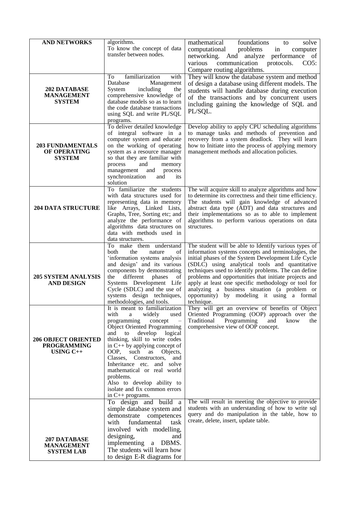| <b>AND NETWORKS</b>                                                | algorithms.<br>To know the concept of data<br>transfer between nodes.                                                                                                                                                                                                                                                                                                                                                                                                | mathematical<br>foundations<br>solve<br>to<br>in<br>problems<br>computational<br>computer<br>networking. And analyze performance of<br>communication<br>protocols.<br>various<br>CO5:<br>Compare routing algorithms.                                                                                                                                                                                                                                                                                      |
|--------------------------------------------------------------------|----------------------------------------------------------------------------------------------------------------------------------------------------------------------------------------------------------------------------------------------------------------------------------------------------------------------------------------------------------------------------------------------------------------------------------------------------------------------|-----------------------------------------------------------------------------------------------------------------------------------------------------------------------------------------------------------------------------------------------------------------------------------------------------------------------------------------------------------------------------------------------------------------------------------------------------------------------------------------------------------|
| 202 DATABASE<br><b>MANAGEMENT</b><br><b>SYSTEM</b>                 | familiarization<br>with<br>To<br>Database<br>Management<br>including<br>System<br>the<br>comprehensive knowledge of<br>database models so as to learn<br>the code database transactions<br>using SQL and write PL/SQL<br>programs.                                                                                                                                                                                                                                   | They will know the database system and method<br>of design a database using different models. The<br>students will handle database during execution<br>of the transactions and by concurrent users<br>including gaining the knowledge of SQL and<br>PL/SQL.                                                                                                                                                                                                                                               |
| <b>203 FUNDAMENTALS</b><br>OF OPERATING<br><b>SYSTEM</b>           | To deliver detailed knowledge<br>of integral software in a<br>computer system and educate<br>on the working of operating<br>system as a resource manager<br>so that they are familiar with<br>process<br>and<br>memory<br>process<br>management<br>and<br>synchronization<br>and<br>its<br>solution                                                                                                                                                                  | Develop ability to apply CPU scheduling algorithms<br>to manage tasks and methods of prevention and<br>recovery from a system deadlock. They will learn<br>how to Initiate into the process of applying memory<br>management methods and allocation policies.                                                                                                                                                                                                                                             |
| <b>204 DATA STRUCTURE</b>                                          | To familiarize the students<br>with data structures used for<br>representing data in memory<br>like Arrays, Linked Lists,<br>Graphs, Tree, Sorting etc; and<br>analyze the performance of<br>algorithms data structures on<br>data with methods used in<br>data structures.                                                                                                                                                                                          | The will acquire skill to analyze algorithms and how<br>to determine its correctness and their time efficiency.<br>The students will gain knowledge of advanced<br>abstract data type (ADT) and data structures and<br>their implementations so as to able to implement<br>algorithms to perform various operations on data<br>structures.                                                                                                                                                                |
| <b>205 SYSTEM ANALYSIS</b><br><b>AND DESIGN</b>                    | To make them understand<br>of<br>both<br>the<br>nature<br>'information systems analysis<br>and design' and its various<br>components by demonstrating<br>the different phases<br>of<br>Systems Development Life<br>Cycle (SDLC) and the use of<br>systems design techniques,<br>methodologies, and tools.                                                                                                                                                            | The student will be able to Identify various types of<br>information systems concepts and terminologies, the<br>initial phases of the System Development Life Cycle<br>(SDLC) using analytical tools and quantitative<br>techniques used to identify problems. The can define<br>problems and opportunities that initiate projects and<br>apply at least one specific methodology or tool for<br>analyzing a business situation (a problem or<br>opportunity) by modeling it using a formal<br>technique. |
| <b>206 OBJECT ORIENTED</b><br><b>PROGRAMMING</b><br>USING $C_{++}$ | It is meant to familiarization<br>with<br>widely<br>a<br>used<br>programming<br>concept<br><b>Object Oriented Programming</b><br>develop<br>and<br>to<br>logical<br>thinking, skill to write codes<br>in $C++$ by applying concept of<br>OOP, such<br>Objects,<br>as<br>Constructors,<br>Classes,<br>and<br>Inheritance etc. and solve<br>mathematical or real world<br>problems.<br>Also to develop ability to<br>isolate and fix common errors<br>in C++ programs. | They will get an overview of benefits of Object<br>Oriented Programming (OOP) approach over the<br>Traditional<br>Programming<br>and<br>know<br>the<br>comprehensive view of OOP concept.                                                                                                                                                                                                                                                                                                                 |
| 207 DATABASE<br><b>MANAGEMENT</b><br><b>SYSTEM LAB</b>             | To design and build a<br>simple database system and<br>demonstrate<br>competences<br>fundamental<br>with<br>task<br>involved with modelling,<br>designing,<br>and<br>implementing a DBMS.<br>The students will learn how<br>to design E-R diagrams for                                                                                                                                                                                                               | The will result in meeting the objective to provide<br>students with an understanding of how to write sql<br>query and do manipulation in the table, how to<br>create, delete, insert, update table.                                                                                                                                                                                                                                                                                                      |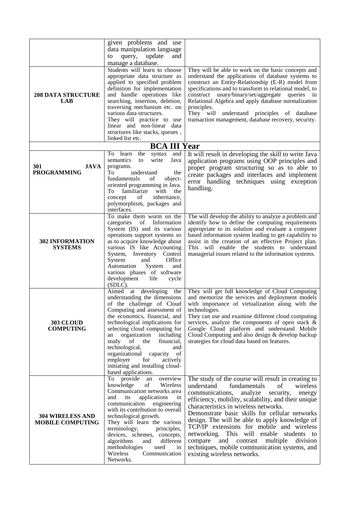|                                                    | given problems and use<br>data manipulation language<br>update<br>and<br>query,<br>to<br>manage a database.                                                                                                                                                                                                                                                                                                                                  |                                                                                                                                                                                                                                                                                                                                                                                                                                                                                                                                                                                      |
|----------------------------------------------------|----------------------------------------------------------------------------------------------------------------------------------------------------------------------------------------------------------------------------------------------------------------------------------------------------------------------------------------------------------------------------------------------------------------------------------------------|--------------------------------------------------------------------------------------------------------------------------------------------------------------------------------------------------------------------------------------------------------------------------------------------------------------------------------------------------------------------------------------------------------------------------------------------------------------------------------------------------------------------------------------------------------------------------------------|
| <b>208 DATA STRUCTURE</b><br><b>LAB</b>            | Students will learn to choose<br>appropriate data structure as<br>applied to specified problem<br>definition for implementation<br>and handle operations like<br>searching, insertion, deletion,<br>traversing mechanism etc. on<br>various data structures.<br>They will practice to use<br>linear and non-linear data<br>structures like stacks, queues,<br>linked list etc.                                                               | They will be able to work on the basic concepts and<br>understand the applications of database systems to<br>construct an Entity-Relationship (E-R) model from<br>specifications and to transform to relational model, to<br>construct unary/binary/set/aggregate queries in<br>Relational Algebra and apply database normalization<br>principles.<br>They will understand principles of database<br>transaction management, database recovery, security.                                                                                                                            |
|                                                    | <b>BCA III Year</b>                                                                                                                                                                                                                                                                                                                                                                                                                          |                                                                                                                                                                                                                                                                                                                                                                                                                                                                                                                                                                                      |
| 301<br><b>JAVA</b><br><b>PROGRAMMING</b>           | To learn<br>syntax<br>and<br>the<br>semantics<br>write<br>Java<br>to<br>programs.<br>To<br>understand<br>the<br>fundamentals<br>of<br>object-<br>oriented programming in Java.<br>To<br>familiarize<br>with<br>the<br>inheritance,<br>of<br>concept<br>polymorphism, packages and<br>interfaces.                                                                                                                                             | It will result in developing the skill to write Java<br>application programs using OOP principles and<br>proper program structuring so as to able to<br>create packages and interfaces and implement<br>error handling techniques using exception<br>handling.                                                                                                                                                                                                                                                                                                                       |
| <b>302 INFORMATION</b><br><b>SYSTEMS</b>           | To make them worm on the<br>of<br>categories<br>Information<br>System (IS) and its various<br>operations support systems so<br>as to acquire knowledge about<br>various IS like Accounting<br>System, Inventory Control<br>Office<br>System<br>and<br>Automation<br>System<br>and<br>various phases of software<br>development<br>life<br>cycle<br>$(SDLC)$ .                                                                                | The will develop the ability to analyze a problem and<br>identify how to define the computing requirements<br>appropriate to its solution and evaluate a computer<br>based information system leading to get capability to<br>assist in the creation of an effective Project plan.<br>This will enable the students to understand<br>managerial issues related to the information systems.                                                                                                                                                                                           |
| <b>303 CLOUD</b><br><b>COMPUTING</b>               | Aimed<br>at developing the<br>understanding the dimensions<br>of the challenge of Cloud<br>Computing and assessment of<br>the economics, financial, and<br>technological implications for<br>selecting cloud computing for<br>an organization including<br>study<br>of<br>the<br>financial,<br>technological,<br>and<br>organizational capacity of<br>employer<br>for<br>actively<br>initiating and installing cloud-<br>based applications. | They will get full knowledge of Cloud Computing<br>and memorize the services and deployment models<br>with importance of virtualization along with the<br>technologies.<br>They can use and examine different cloud computing<br>services, analyze the components of open stack $\&$<br>Google Cloud platform and understand Mobile<br>Cloud Computing and also design & develop backup<br>strategies for cloud data based on features.                                                                                                                                              |
| <b>304 WIRELESS AND</b><br><b>MOBILE COMPUTING</b> | To provide an<br>overview<br>knowledge<br>of<br>Wireless<br>Communication networks area<br>applications<br>and<br>its<br>in<br>communication<br>engineering<br>with its contribution to overall<br>technological growth.<br>They will learn the various<br>terminology,<br>principles,<br>devices, schemes, concepts,<br>algorithms<br>different<br>and<br>methodologies<br>used<br>in<br>Wireless<br>Communication<br>Networks.             | The study of the course will result in creating to<br>understand<br>fundamentals<br>of<br>wireless<br>communications,<br>analyze<br>security,<br>energy<br>efficiency, mobility, scalability, and their unique<br>characteristics in wireless networks.<br>Demonstrate basic skills for cellular networks<br>design. The will be able to apply knowledge of<br>TCP/IP extensions for mobile and wireless<br>networking. This will enable students to<br>and contrast multiple<br>compare<br>division<br>techniques, mobile communication systems, and<br>existing wireless networks. |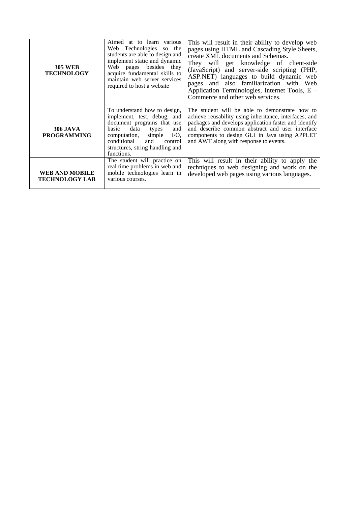| <b>305 WEB</b><br><b>TECHNOLOGY</b>            | Aimed at to learn various<br>Web Technologies so the<br>students are able to design and<br>implement static and dynamic<br>Web pages besides they<br>acquire fundamental skills to<br>maintain web server services<br>required to host a website  | This will result in their ability to develop web<br>pages using HTML and Cascading Style Sheets,<br>create XML documents and Schemas.<br>They will get knowledge of client-side<br>(JavaScript) and server-side scripting (PHP,<br>ASP.NET) languages to build dynamic web<br>pages and also familiarization with Web<br>Application Terminologies, Internet Tools, E -<br>Commerce and other web services. |
|------------------------------------------------|---------------------------------------------------------------------------------------------------------------------------------------------------------------------------------------------------------------------------------------------------|-------------------------------------------------------------------------------------------------------------------------------------------------------------------------------------------------------------------------------------------------------------------------------------------------------------------------------------------------------------------------------------------------------------|
| <b>306 JAVA</b><br><b>PROGRAMMING</b>          | To understand how to design,<br>implement, test, debug, and<br>document programs that use<br>data<br>basic<br>and<br>types<br>$I/O$ .<br>computation,<br>simple<br>conditional<br>and<br>control<br>structures, string handling and<br>functions. | The student will be able to demonstrate how to<br>achieve reusability using inheritance, interfaces, and<br>packages and develops application faster and identify<br>and describe common abstract and user interface<br>components to design GUI in Java using APPLET<br>and AWT along with response to events.                                                                                             |
| <b>WEB AND MOBILE</b><br><b>TECHNOLOGY LAB</b> | The student will practice on<br>real time problems in web and<br>mobile technologies learn in<br>various courses.                                                                                                                                 | This will result in their ability to apply the<br>techniques to web designing and work on the<br>developed web pages using various languages.                                                                                                                                                                                                                                                               |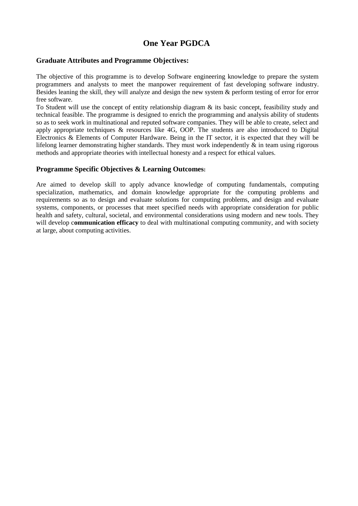## **One Year PGDCA**

### **Graduate Attributes and Programme Objectives:**

The objective of this programme is to develop Software engineering knowledge to prepare the system programmers and analysts to meet the manpower requirement of fast developing software industry. Besides leaning the skill, they will analyze and design the new system & perform testing of error for error free software.

To Student will use the concept of entity relationship diagram & its basic concept, feasibility study and technical feasible. The programme is designed to enrich the programming and analysis ability of students so as to seek work in multinational and reputed software companies. They will be able to create, select and apply appropriate techniques & resources like 4G, OOP. The students are also introduced to Digital Electronics & Elements of Computer Hardware. Being in the IT sector, it is expected that they will be lifelong learner demonstrating higher standards. They must work independently & in team using rigorous methods and appropriate theories with intellectual honesty and a respect for ethical values.

#### **Programme Specific Objectives & Learning Outcomes:**

Are aimed to develop skill to apply advance knowledge of computing fundamentals, computing specialization, mathematics, and domain knowledge appropriate for the computing problems and requirements so as to design and evaluate solutions for computing problems, and design and evaluate systems, components, or processes that meet specified needs with appropriate consideration for public health and safety, cultural, societal, and environmental considerations using modern and new tools. They will develop c**ommunication efficacy** to deal with multinational computing community, and with society at large, about computing activities.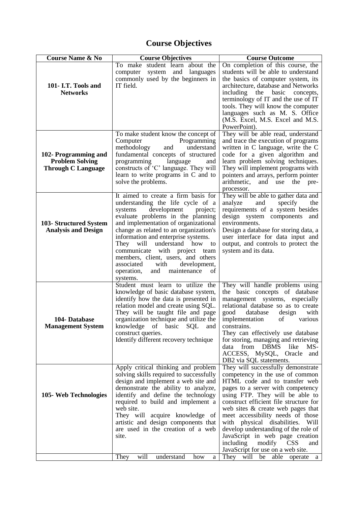# **Course Objectives**

| <b>Course Name &amp; No</b>                                                 | <b>Course Objectives</b>                                                                                                                                                                                                                                                                                                                                                                                                                                                       | <b>Course Outcome</b>                                                                                                                                                                                                                                                                                                                                                                                                                                                                                 |
|-----------------------------------------------------------------------------|--------------------------------------------------------------------------------------------------------------------------------------------------------------------------------------------------------------------------------------------------------------------------------------------------------------------------------------------------------------------------------------------------------------------------------------------------------------------------------|-------------------------------------------------------------------------------------------------------------------------------------------------------------------------------------------------------------------------------------------------------------------------------------------------------------------------------------------------------------------------------------------------------------------------------------------------------------------------------------------------------|
| 101- I.T. Tools and<br><b>Networks</b>                                      | To make student learn about the<br>system<br>and<br>languages<br>computer<br>commonly used by the beginners in<br>IT field.                                                                                                                                                                                                                                                                                                                                                    | On completion of this course, the<br>students will be able to understand<br>the basics of computer system, its<br>architecture, database and Networks<br>including the basic<br>concepts,<br>terminology of IT and the use of IT<br>tools. They will know the computer<br>languages such as M. S. Office<br>(M.S. Excel, M.S. Excel and M.S.<br>PowerPoint).                                                                                                                                          |
| 102- Programming and<br><b>Problem Solving</b><br><b>Through C Language</b> | To make student know the concept of<br>Programming<br>Computer<br>methodology<br>understand<br>and<br>fundamental concepts of structured<br>programming<br>language<br>and<br>constructs of 'C' language. They will<br>learn to write programs in C and to<br>solve the problems.                                                                                                                                                                                              | They will be able read, understand<br>and trace the execution of programs<br>written in C language, write the C<br>code for a given algorithm and<br>learn problem solving techniques.<br>They will implement programs with<br>pointers and arrays, perform pointer<br>arithmetic,<br>and use the<br>pre-<br>processor.                                                                                                                                                                               |
| 103- Structured System<br><b>Analysis and Design</b>                        | It aimed to create a firm basis for<br>understanding the life cycle of a<br>development<br>systems<br>project;<br>evaluate problems in the planning<br>and implementation of organizational<br>change as related to an organization's<br>information and enterprise systems.<br>They will understand how to<br>communicate with project team<br>members, client, users, and others<br>associated<br>development,<br>with<br>of<br>operation,<br>and<br>maintenance<br>systems. | They will be able to gather data and<br>analyze<br>and<br>specify<br>the<br>requirements of a system besides<br>design system components and<br>environments.<br>Design a database for storing data, a<br>user interface for data input and<br>output, and controls to protect the<br>system and its data.                                                                                                                                                                                            |
| 104- Database<br><b>Management System</b>                                   | Student must learn to utilize the<br>knowledge of basic database system,<br>identify how the data is presented in<br>relation model and create using SQL.<br>They will be taught file and page<br>organization technique and utilize the<br>knowledge of basic<br>SQL<br>and<br>construct queries.<br>Identify different recovery technique                                                                                                                                    | They will handle problems using<br>the basic concepts of database<br>management systems, especially<br>relational database so as to create<br>good<br>database<br>design<br>with<br>of<br>implementation<br>various<br>constrains.<br>They can effectively use database<br>for storing, managing and retrieving<br>from DBMS<br>like<br>$MS-$<br>data<br>ACCESS, MySQL, Oracle and<br>DB2 via SQL statements.                                                                                         |
| 105- Web Technologies                                                       | Apply critical thinking and problem<br>solving skills required to successfully<br>design and implement a web site and<br>demonstrate the ability to analyze,<br>identify and define the technology<br>required to build and implement a<br>web site.<br>They will acquire knowledge of<br>artistic and design components that<br>are used in the creation of a web<br>site.                                                                                                    | They will successfully demonstrate<br>competency in the use of common<br>HTML code and to transfer web<br>pages to a server with competency<br>using FTP. They will be able to<br>construct efficient file structure for<br>web sites & create web pages that<br>meet accessibility needs of those<br>with physical disabilities.<br>Will<br>develop understanding of the role of<br>JavaScript in web page creation<br>modify<br>including<br><b>CSS</b><br>and<br>JavaScript for use on a web site. |
|                                                                             | will<br>They<br>understand<br>how<br>a                                                                                                                                                                                                                                                                                                                                                                                                                                         | They will be<br>able operate<br>a                                                                                                                                                                                                                                                                                                                                                                                                                                                                     |